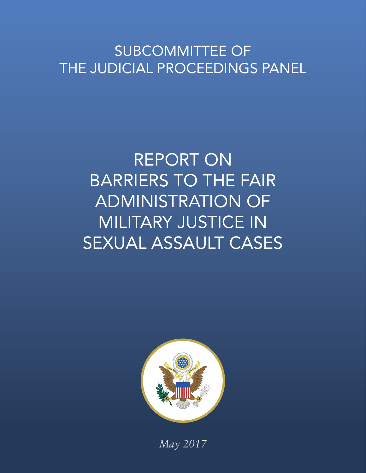# SUBCOMMITTEE OF THE JUDICIAL PROCEEDINGS PANEL

# REPORT ON BARRIERS TO THE FAIR ADMINISTRATION OF MILITARY JUSTICE IN SEXUAL ASSAULT CASES



*May 2017*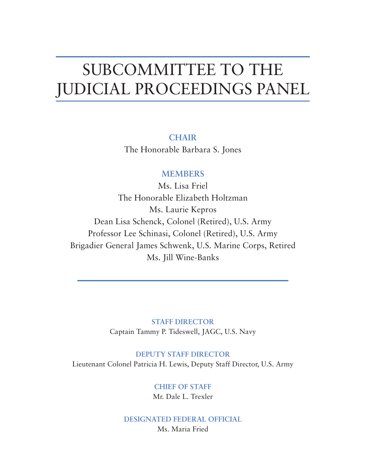# SUBCOMMITTEE TO THE JUDICIAL PROCEEDINGS PANEL

**CHAIR** The Honorable Barbara S. Jones

## **MEMBERS**

Ms. Lisa Friel The Honorable Elizabeth Holtzman Ms. Laurie Kepros Dean Lisa Schenck, Colonel (Retired), U.S. Army Professor Lee Schinasi, Colonel (Retired), U.S. Army Brigadier General James Schwenk, U.S. Marine Corps, Retired Ms. Jill Wine-Banks

> **STAFF DIRECTOR** Captain Tammy P. Tideswell, JAGC, U.S. Navy

**DEPUTY STAFF DIRECTOR** Lieutenant Colonel Patricia H. Lewis, Deputy Staff Director, U.S. Army

> **CHIEF OF STAFF** Mr. Dale L. Trexler

**DESIGNATED FEDERAL OFFICIAL** Ms. Maria Fried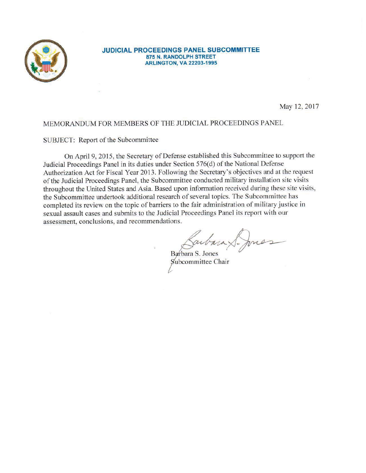

#### **JUDICIAL PROCEEDINGS PANEL SUBCOMMITTEE** 875 N. RANDOLPH STREET **ARLINGTON, VA 22203-1995**

May 12, 2017

### MEMORANDUM FOR MEMBERS OF THE JUDICIAL PROCEEDINGS PANEL

#### SUBJECT: Report of the Subcommittee

On April 9, 2015, the Secretary of Defense established this Subcommittee to support the Judicial Proceedings Panel in its duties under Section 576(d) of the National Defense Authorization Act for Fiscal Year 2013. Following the Secretary's objectives and at the request of the Judicial Proceedings Panel, the Subcommittee conducted military installation site visits throughout the United States and Asia. Based upon information received during these site visits, the Subcommittee undertook additional research of several topics. The Subcommittee has completed its review on the topic of barriers to the fair administration of military justice in sexual assault cases and submits to the Judicial Proceedings Panel its report with our assessment, conclusions, and recommendations.

Barbara S. Jones Subcommittee Chair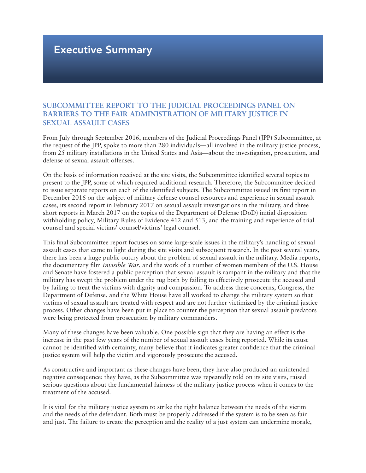# Executive Summary

## **SUBCOMMITTEE REPORT TO THE JUDICIAL PROCEEDINGS PANEL ON BARRIERS TO THE FAIR ADMINISTRATION OF MILITARY JUSTICE IN SEXUAL ASSAULT CASES**

From July through September 2016, members of the Judicial Proceedings Panel (JPP) Subcommittee, at the request of the JPP, spoke to more than 280 individuals—all involved in the military justice process, from 25 military installations in the United States and Asia—about the investigation, prosecution, and defense of sexual assault offenses.

On the basis of information received at the site visits, the Subcommittee identified several topics to present to the JPP, some of which required additional research. Therefore, the Subcommittee decided to issue separate reports on each of the identified subjects. The Subcommittee issued its first report in December 2016 on the subject of military defense counsel resources and experience in sexual assault cases, its second report in February 2017 on sexual assault investigations in the military, and three short reports in March 2017 on the topics of the Department of Defense (DoD) initial disposition withholding policy, Military Rules of Evidence 412 and 513, and the training and experience of trial counsel and special victims' counsel/victims' legal counsel.

This final Subcommittee report focuses on some large-scale issues in the military's handling of sexual assault cases that came to light during the site visits and subsequent research. In the past several years, there has been a huge public outcry about the problem of sexual assault in the military. Media reports, the documentary film *Invisible War*, and the work of a number of women members of the U.S. House and Senate have fostered a public perception that sexual assault is rampant in the military and that the military has swept the problem under the rug both by failing to effectively prosecute the accused and by failing to treat the victims with dignity and compassion. To address these concerns, Congress, the Department of Defense, and the White House have all worked to change the military system so that victims of sexual assault are treated with respect and are not further victimized by the criminal justice process. Other changes have been put in place to counter the perception that sexual assault predators were being protected from prosecution by military commanders.

Many of these changes have been valuable. One possible sign that they are having an effect is the increase in the past few years of the number of sexual assault cases being reported. While its cause cannot be identified with certainty, many believe that it indicates greater confidence that the criminal justice system will help the victim and vigorously prosecute the accused.

As constructive and important as these changes have been, they have also produced an unintended negative consequence: they have, as the Subcommittee was repeatedly told on its site visits, raised serious questions about the fundamental fairness of the military justice process when it comes to the treatment of the accused.

It is vital for the military justice system to strike the right balance between the needs of the victim and the needs of the defendant. Both must be properly addressed if the system is to be seen as fair and just. The failure to create the perception and the reality of a just system can undermine morale,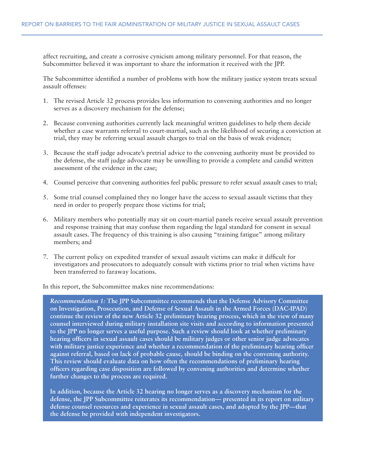affect recruiting, and create a corrosive cynicism among military personnel. For that reason, the Subcommittee believed it was important to share the information it received with the JPP.

The Subcommittee identified a number of problems with how the military justice system treats sexual assault offenses:

- 1. The revised Article 32 process provides less information to convening authorities and no longer serves as a discovery mechanism for the defense;
- 2. Because convening authorities currently lack meaningful written guidelines to help them decide whether a case warrants referral to court-martial, such as the likelihood of securing a conviction at trial, they may be referring sexual assault charges to trial on the basis of weak evidence;
- 3. Because the staff judge advocate's pretrial advice to the convening authority must be provided to the defense, the staff judge advocate may be unwilling to provide a complete and candid written assessment of the evidence in the case;
- 4. Counsel perceive that convening authorities feel public pressure to refer sexual assault cases to trial;
- 5. Some trial counsel complained they no longer have the access to sexual assault victims that they need in order to properly prepare those victims for trial;
- 6. Military members who potentially may sit on court-martial panels receive sexual assault prevention and response training that may confuse them regarding the legal standard for consent in sexual assault cases. The frequency of this training is also causing "training fatigue" among military members; and
- 7. The current policy on expedited transfer of sexual assault victims can make it difficult for investigators and prosecutors to adequately consult with victims prior to trial when victims have been transferred to faraway locations.

In this report, the Subcommittee makes nine recommendations:

*Recommendation 1:* **The JPP Subcommittee recommends that the Defense Advisory Committee on Investigation, Prosecution, and Defense of Sexual Assault in the Armed Forces (DAC-IPAD) continue the review of the new Article 32 preliminary hearing process, which in the view of many counsel interviewed during military installation site visits and according to information presented to the JPP no longer serves a useful purpose. Such a review should look at whether preliminary hearing officers in sexual assault cases should be military judges or other senior judge advocates with military justice experience and whether a recommendation of the preliminary hearing officer against referral, based on lack of probable cause, should be binding on the convening authority. This review should evaluate data on how often the recommendations of preliminary hearing officers regarding case disposition are followed by convening authorities and determine whether further changes to the process are required.** 

**In addition, because the Article 32 hearing no longer serves as a discovery mechanism for the defense, the JPP Subcommittee reiterates its recommendation— presented in its report on military defense counsel resources and experience in sexual assault cases, and adopted by the JPP—that the defense be provided with independent investigators.**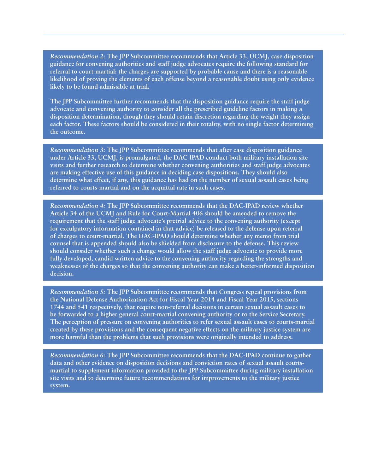*Recommendation 2:* **The JPP Subcommittee recommends that Article 33, UCMJ, case disposition guidance for convening authorities and staff judge advocates require the following standard for referral to court-martial: the charges are supported by probable cause and there is a reasonable likelihood of proving the elements of each offense beyond a reasonable doubt using only evidence likely to be found admissible at trial.** 

**The JPP Subcommittee further recommends that the disposition guidance require the staff judge advocate and convening authority to consider all the prescribed guideline factors in making a disposition determination, though they should retain discretion regarding the weight they assign each factor. These factors should be considered in their totality, with no single factor determining the outcome.**

*Recommendation 3:* **The JPP Subcommittee recommends that after case disposition guidance under Article 33, UCMJ, is promulgated, the DAC-IPAD conduct both military installation site visits and further research to determine whether convening authorities and staff judge advocates are making effective use of this guidance in deciding case dispositions. They should also determine what effect, if any, this guidance has had on the number of sexual assault cases being referred to courts-martial and on the acquittal rate in such cases.**

*Recommendation 4:* **The JPP Subcommittee recommends that the DAC-IPAD review whether Article 34 of the UCMJ and Rule for Court-Martial 406 should be amended to remove the requirement that the staff judge advocate's pretrial advice to the convening authority (except for exculpatory information contained in that advice) be released to the defense upon referral of charges to court-martial. The DAC-IPAD should determine whether any memo from trial counsel that is appended should also be shielded from disclosure to the defense. This review should consider whether such a change would allow the staff judge advocate to provide more fully developed, candid written advice to the convening authority regarding the strengths and weaknesses of the charges so that the convening authority can make a better-informed disposition decision.**

*Recommendation 5:* **The JPP Subcommittee recommends that Congress repeal provisions from the National Defense Authorization Act for Fiscal Year 2014 and Fiscal Year 2015, sections 1744 and 541 respectively, that require non-referral decisions in certain sexual assault cases to be forwarded to a higher general court-martial convening authority or to the Service Secretary. The perception of pressure on convening authorities to refer sexual assault cases to courts-martial created by these provisions and the consequent negative effects on the military justice system are more harmful than the problems that such provisions were originally intended to address.**

*Recommendation 6:* **The JPP Subcommittee recommends that the DAC-IPAD continue to gather data and other evidence on disposition decisions and conviction rates of sexual assault courtsmartial to supplement information provided to the JPP Subcommittee during military installation site visits and to determine future recommendations for improvements to the military justice system.**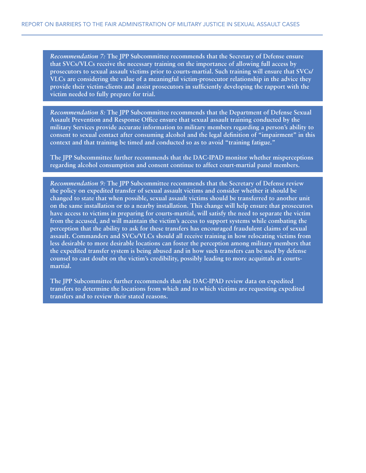*Recommendation 7:* **The JPP Subcommittee recommends that the Secretary of Defense ensure that SVCs/VLCs receive the necessary training on the importance of allowing full access by prosecutors to sexual assault victims prior to courts-martial. Such training will ensure that SVCs/ VLCs are considering the value of a meaningful victim-prosecutor relationship in the advice they provide their victim-clients and assist prosecutors in sufficiently developing the rapport with the victim needed to fully prepare for trial.**

*Recommendation 8:* **The JPP Subcommittee recommends that the Department of Defense Sexual Assault Prevention and Response Office ensure that sexual assault training conducted by the military Services provide accurate information to military members regarding a person's ability to consent to sexual contact after consuming alcohol and the legal definition of "impairment" in this context and that training be timed and conducted so as to avoid "training fatigue."** 

**The JPP Subcommittee further recommends that the DAC-IPAD monitor whether misperceptions regarding alcohol consumption and consent continue to affect court-martial panel members.**

*Recommendation 9:* **The JPP Subcommittee recommends that the Secretary of Defense review the policy on expedited transfer of sexual assault victims and consider whether it should be changed to state that when possible, sexual assault victims should be transferred to another unit on the same installation or to a nearby installation. This change will help ensure that prosecutors have access to victims in preparing for courts-martial, will satisfy the need to separate the victim from the accused, and will maintain the victim's access to support systems while combating the perception that the ability to ask for these transfers has encouraged fraudulent claims of sexual assault. Commanders and SVCs/VLCs should all receive training in how relocating victims from less desirable to more desirable locations can foster the perception among military members that the expedited transfer system is being abused and in how such transfers can be used by defense counsel to cast doubt on the victim's credibility, possibly leading to more acquittals at courtsmartial.** 

**The JPP Subcommittee further recommends that the DAC-IPAD review data on expedited transfers to determine the locations from which and to which victims are requesting expedited transfers and to review their stated reasons.**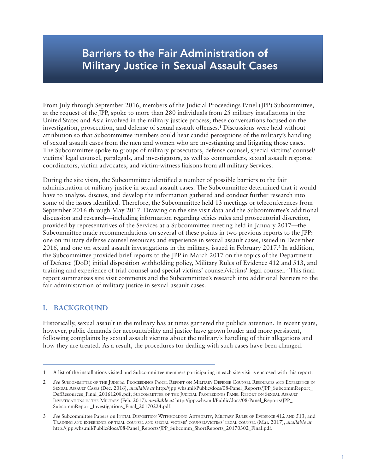# Barriers to the Fair Administration of Military Justice in Sexual Assault Cases

From July through September 2016, members of the Judicial Proceedings Panel (JPP) Subcommittee, at the request of the JPP, spoke to more than 280 individuals from 25 military installations in the United States and Asia involved in the military justice process; these conversations focused on the investigation, prosecution, and defense of sexual assault offenses.1 Discussions were held without attribution so that Subcommittee members could hear candid perceptions of the military's handling of sexual assault cases from the men and women who are investigating and litigating those cases. The Subcommittee spoke to groups of military prosecutors, defense counsel, special victims' counsel/ victims' legal counsel, paralegals, and investigators, as well as commanders, sexual assault response coordinators, victim advocates, and victim-witness liaisons from all military Services.

During the site visits, the Subcommittee identified a number of possible barriers to the fair administration of military justice in sexual assault cases. The Subcommittee determined that it would have to analyze, discuss, and develop the information gathered and conduct further research into some of the issues identified. Therefore, the Subcommittee held 13 meetings or teleconferences from September 2016 through May 2017. Drawing on the site visit data and the Subcommittee's additional discussion and research—including information regarding ethics rules and prosecutorial discretion, provided by representatives of the Services at a Subcommittee meeting held in January 2017—the Subcommittee made recommendations on several of these points in two previous reports to the JPP: one on military defense counsel resources and experience in sexual assault cases, issued in December 2016, and one on sexual assault investigations in the military, issued in February 2017.<sup>2</sup> In addition, the Subcommittee provided brief reports to the JPP in March 2017 on the topics of the Department of Defense (DoD) initial disposition withholding policy, Military Rules of Evidence 412 and 513, and training and experience of trial counsel and special victims' counsel/victims' legal counsel.<sup>3</sup> This final report summarizes site visit comments and the Subcommittee's research into additional barriers to the fair administration of military justice in sexual assault cases.

## **I. BACKGROUND**

Historically, sexual assault in the military has at times garnered the public's attention. In recent years, however, public demands for accountability and justice have grown louder and more persistent, following complaints by sexual assault victims about the military's handling of their allegations and how they are treated. As a result, the procedures for dealing with such cases have been changed.

<sup>1</sup> A list of the installations visited and Subcommittee members participating in each site visit is enclosed with this report.

<sup>2</sup> *See* SUBCOMMITTEE OF THE JUDICIAL PROCEEDINGS PANEL REPORT ON MILITARY DEFENSE COUNSEL RESOURCES AND EXPERIENCE IN SEXUAL ASSAULT CASES (Dec. 2016), *available at* http://jpp.whs.mil/Public/docs/08-Panel\_Reports/JPP\_SubcommReport\_ DefResources\_Final\_20161208.pdf; SUBCOMMITTEE OF THE JUDICIAL PROCEEDINGS PANEL REPORT ON SEXUAL ASSAULT INVESTIGATIONS IN THE MILITARY (Feb. 2017), *available at* http://jpp.whs.mil/Public/docs/08-Panel\_Reports/JPP\_ SubcommReport\_Investigations\_Final\_20170224.pdf.

See Subcommittee Papers on INITIAL DISPOSITION WITHHOLDING AUTHORITY; MILITARY RULES OF EVIDENCE 412 AND 513; and TRAINING AND EXPERIENCE OF TRIAL COUNSEL AND SPECIAL VICTIMS' COUNSEL/VICTIMS' LEGAL COUNSEL (Mar. 2017), *available at*  http://jpp.whs.mil/Public/docs/08-Panel\_Reports/JPP\_Subcomm\_ShortReports\_20170302\_Final.pdf.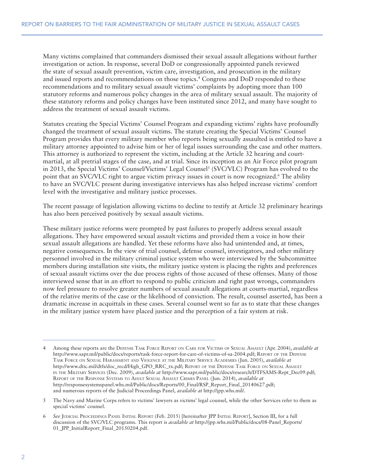Many victims complained that commanders dismissed their sexual assault allegations without further investigation or action. In response, several DoD or congressionally appointed panels reviewed the state of sexual assault prevention, victim care, investigation, and prosecution in the military and issued reports and recommendations on those topics.4 Congress and DoD responded to these recommendations and to military sexual assault victims' complaints by adopting more than 100 statutory reforms and numerous policy changes in the area of military sexual assault. The majority of these statutory reforms and policy changes have been instituted since 2012, and many have sought to address the treatment of sexual assault victims.

Statutes creating the Special Victims' Counsel Program and expanding victims' rights have profoundly changed the treatment of sexual assault victims. The statute creating the Special Victims' Counsel Program provides that every military member who reports being sexually assaulted is entitled to have a military attorney appointed to advise him or her of legal issues surrounding the case and other matters. This attorney is authorized to represent the victim, including at the Article 32 hearing and courtmartial, at all pretrial stages of the case, and at trial. Since its inception as an Air Force pilot program in 2013, the Special Victims' Counsel/Victims' Legal Counsel<sup>5</sup> (SVC/VLC) Program has evolved to the point that an SVC/VLC right to argue victim privacy issues in court is now recognized.<sup>6</sup> The ability to have an SVC/VLC present during investigative interviews has also helped increase victims' comfort level with the investigative and military justice processes.

The recent passage of legislation allowing victims to decline to testify at Article 32 preliminary hearings has also been perceived positively by sexual assault victims.

These military justice reforms were prompted by past failures to properly address sexual assault allegations. They have empowered sexual assault victims and provided them a voice in how their sexual assault allegations are handled. Yet these reforms have also had unintended and, at times, negative consequences. In the view of trial counsel, defense counsel, investigators, and other military personnel involved in the military criminal justice system who were interviewed by the Subcommittee members during installation site visits, the military justice system is placing the rights and preferences of sexual assault victims over the due process rights of those accused of these offenses. Many of those interviewed sense that in an effort to respond to public criticism and right past wrongs, commanders now feel pressure to resolve greater numbers of sexual assault allegations at courts-martial, regardless of the relative merits of the case or the likelihood of conviction. The result, counsel asserted, has been a dramatic increase in acquittals in these cases. Several counsel went so far as to state that these changes in the military justice system have placed justice and the perception of a fair system at risk.

<sup>4</sup> Among these reports are the DEFENSE TASK FORCE REPORT ON CARE FOR VICTIMS OF SEXUAL ASSAULT (Apr. 2004), *available at*  http://www.sapr.mil/public/docs/reports/task-force-report-for-care-of-victims-of-sa-2004.pdf; REPORT OF THE DEFENSE TASK FORCE ON SEXUAL HARASSMENT AND VIOLENCE AT THE MILITARY SERVICE ACADEMIES (Jun. 2005), *available at* http://www.dtic.mil/dtfs/doc\_recd/High\_GPO\_RRC\_tx.pdf; REPORT OF THE DEFENSE TASK FORCE ON SEXUAL ASSAULT IN THE MILITARY SERVICES (Dec. 2009), *available at* http://www.sapr.mil/public/docs/research/DTFSAMS-Rept\_Dec09.pdf; REPORT OF THE RESPONSE SYSTEMS TO ADULT SEXUAL ASSAULT CRIMES PANEL (Jun. 2014), *available at* http://responsesystemspanel.whs.mil/Public/docs/Reports/00\_Final/RSP\_Report\_Final\_20140627.pdf; and numerous reports of the Judicial Proceedings Panel, *available at* http://jpp.whs.mil/.

<sup>5</sup> The Navy and Marine Corps refers to victims' lawyers as victims' legal counsel, while the other Services refer to them as special victims' counsel.

<sup>6</sup> *See* JUDICIAL PROCEEDINGS PANEL INITIAL REPORT (Feb. 2015) [hereinafter JPP INITIAL REPORT], Section III, for a full discussion of the SVC/VLC programs. This report is *available at* http://jpp.whs.mil/Public/docs/08-Panel\_Reports/ 01\_JPP\_InitialReport\_Final\_20150204.pdf.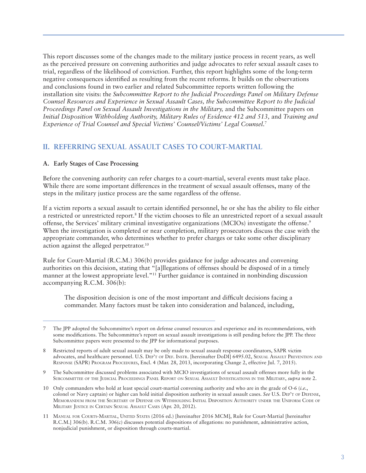This report discusses some of the changes made to the military justice process in recent years, as well as the perceived pressure on convening authorities and judge advocates to refer sexual assault cases to trial, regardless of the likelihood of conviction. Further, this report highlights some of the long-term negative consequences identified as resulting from the recent reforms. It builds on the observations and conclusions found in two earlier and related Subcommittee reports written following the installation site visits: the *Subcommittee Report to the Judicial Proceedings Panel on Military Defense Counsel Resources and Experience in Sexual Assault Cases, the Subcommittee Report to the Judicial Proceedings Panel on Sexual Assault Investigations in the Military,* and the Subcommittee papers on *Initial Disposition Withholding Authority, Military Rules of Evidence 412 and 513,* and *Training and Experience of Trial Counsel and Special Victims' Counsel/Victims' Legal Counsel*. 7

### **II. REFERRING SEXUAL ASSAULT CASES TO COURT-MARTIAL**

#### **A. Early Stages of Case Processing**

Before the convening authority can refer charges to a court-martial, several events must take place. While there are some important differences in the treatment of sexual assault offenses, many of the steps in the military justice process are the same regardless of the offense.

If a victim reports a sexual assault to certain identified personnel, he or she has the ability to file either a restricted or unrestricted report.<sup>8</sup> If the victim chooses to file an unrestricted report of a sexual assault offense, the Services' military criminal investigative organizations (MCIOs) investigate the offense.9 When the investigation is completed or near completion, military prosecutors discuss the case with the appropriate commander, who determines whether to prefer charges or take some other disciplinary action against the alleged perpetrator.10

Rule for Court-Martial (R.C.M.) 306(b) provides guidance for judge advocates and convening authorities on this decision, stating that "[a]llegations of offenses should be disposed of in a timely manner at the lowest appropriate level."11 Further guidance is contained in nonbinding discussion accompanying R.C.M. 306(b):

The disposition decision is one of the most important and difficult decisions facing a commander. Many factors must be taken into consideration and balanced, including,

9 The Subcommittee discussed problems associated with MCIO investigations of sexual assault offenses more fully in the SUBCOMMITTEE OF THE JUDICIAL PROCEEDINGS PANEL REPORT ON SEXUAL ASSAULT INVESTIGATIONS IN THE MILITARY, *supra* note 2.

<sup>7</sup> The JPP adopted the Subcommittee's report on defense counsel resources and experience and its recommendations, with some modifications. The Subcommittee's report on sexual assault investigations is still pending before the JPP. The three Subcommittee papers were presented to the JPP for informational purposes.

<sup>8</sup> Restricted reports of adult sexual assault may be only made to sexual assault response coordinators, SAPR victim advocates, and healthcare personnel. U.S. DEP'T OF DEF. INSTR. [hereinafter DoDI] 6495.02, SEXUAL ASSAULT PREVENTION AND RESPONSE (SAPR) PROGRAM PROCEDURES, Encl. 4 (Mar. 28, 2013, incorporating Change 2, effective Jul. 7, 2015).

<sup>10</sup> Only commanders who hold at least special court-martial convening authority and who are in the grade of O-6 (*i.e.*, colonel or Navy captain) or higher can hold initial disposition authority in sexual assault cases. *See* U.S. DEP'T OF DEFENSE, MEMORANDUM FROM THE SECRETARY OF DEFENSE ON WITHHOLDING INITIAL DISPOSITION AUTHORITY UNDER THE UNIFORM CODE OF MILITARY JUSTICE IN CERTAIN SEXUAL ASSAULT CASES (Apr. 20, 2012).

<sup>11</sup> MANUAL FOR COURTS-MARTIAL, UNITED STATES (2016 ed.) [hereinafter 2016 MCM], Rule for Court-Martial [hereinafter R.C.M.] 306(b). R.C.M. 306(c) discusses potential dispositions of allegations: no punishment, administrative action, nonjudicial punishment, or disposition through courts-martial.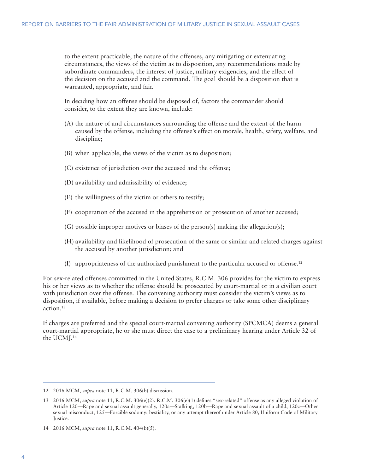to the extent practicable, the nature of the offenses, any mitigating or extenuating circumstances, the views of the victim as to disposition, any recommendations made by subordinate commanders, the interest of justice, military exigencies, and the effect of the decision on the accused and the command. The goal should be a disposition that is warranted, appropriate, and fair.

In deciding how an offense should be disposed of, factors the commander should consider, to the extent they are known, include:

- (A) the nature of and circumstances surrounding the offense and the extent of the harm caused by the offense, including the offense's effect on morale, health, safety, welfare, and discipline;
- (B) when applicable, the views of the victim as to disposition;
- (C) existence of jurisdiction over the accused and the offense;
- (D) availability and admissibility of evidence;
- (E) the willingness of the victim or others to testify;
- (F) cooperation of the accused in the apprehension or prosecution of another accused;
- (G) possible improper motives or biases of the person(s) making the allegation(s);
- (H) availability and likelihood of prosecution of the same or similar and related charges against the accused by another jurisdiction; and
- (I) appropriateness of the authorized punishment to the particular accused or offense.12

For sex-related offenses committed in the United States, R.C.M. 306 provides for the victim to express his or her views as to whether the offense should be prosecuted by court-martial or in a civilian court with jurisdiction over the offense. The convening authority must consider the victim's views as to disposition, if available, before making a decision to prefer charges or take some other disciplinary action.13

If charges are preferred and the special court-martial convening authority (SPCMCA) deems a general court-martial appropriate, he or she must direct the case to a preliminary hearing under Article 32 of the UCMJ.14

<sup>12 2016</sup> MCM, *supra* note 11, R.C.M. 306(b) discussion.

<sup>13 2016</sup> MCM, *supra* note 11, R.C.M. 306(e)(2). R.C.M. 306(e)(1) defines "sex-related" offense as any alleged violation of Article 120—Rape and sexual assault generally, 120a—Stalking, 120b—Rape and sexual assault of a child, 120c—Other sexual misconduct, 125—Forcible sodomy; bestiality, or any attempt thereof under Article 80, Uniform Code of Military Justice.

<sup>14 2016</sup> MCM, *supra* note 11, R.C.M. 404(b)(5).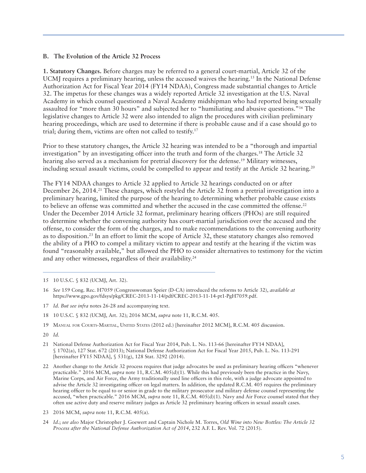#### **B. The Evolution of the Article 32 Process**

**1. Statutory Changes.** Before charges may be referred to a general court-martial, Article 32 of the UCMJ requires a preliminary hearing, unless the accused waives the hearing.<sup>15</sup> In the National Defense Authorization Act for Fiscal Year 2014 (FY14 NDAA), Congress made substantial changes to Article 32. The impetus for these changes was a widely reported Article 32 investigation at the U.S. Naval Academy in which counsel questioned a Naval Academy midshipman who had reported being sexually assaulted for "more than 30 hours" and subjected her to "humiliating and abusive questions."16 The legislative changes to Article 32 were also intended to align the procedures with civilian preliminary hearing proceedings, which are used to determine if there is probable cause and if a case should go to trial; during them, victims are often not called to testify.17

Prior to these statutory changes, the Article 32 hearing was intended to be a "thorough and impartial investigation" by an investigating officer into the truth and form of the charges.18 The Article 32 hearing also served as a mechanism for pretrial discovery for the defense.<sup>19</sup> Military witnesses, including sexual assault victims, could be compelled to appear and testify at the Article 32 hearing.<sup>20</sup>

The FY14 NDAA changes to Article 32 applied to Article 32 hearings conducted on or after December 26, 2014.<sup>21</sup> These changes, which restyled the Article 32 from a pretrial investigation into a preliminary hearing, limited the purpose of the hearing to determining whether probable cause exists to believe an offense was committed and whether the accused in the case committed the offense.<sup>22</sup> Under the December 2014 Article 32 format, preliminary hearing officers (PHOs) are still required to determine whether the convening authority has court-martial jurisdiction over the accused and the offense, to consider the form of the charges, and to make recommendations to the convening authority as to disposition.23 In an effort to limit the scope of Article 32, these statutory changes also removed the ability of a PHO to compel a military victim to appear and testify at the hearing if the victim was found "reasonably available," but allowed the PHO to consider alternatives to testimony for the victim and any other witnesses, regardless of their availability.24

- 17 *Id. But see infra* notes 26-28 and accompanying text.
- 18 10 U.S.C. § 832 (UCMJ, Art. 32); 2016 MCM, *supra* note 11, R.C.M. 405.
- 19 MANUAL FOR COURTS-MARTIAL, UNITED STATES (2012 ed.) [hereinafter 2012 MCM], R.C.M. 405 discussion.
- 20 *Id.*
- 21 National Defense Authorization Act for Fiscal Year 2014, Pub. L. No. 113-66 [hereinafter FY14 NDAA], § 1702(a), 127 Stat. 672 (2013); National Defense Authorization Act for Fiscal Year 2015, Pub. L. No. 113-291 [hereinafter FY15 NDAA], § 531(g), 128 Stat. 3292 (2014).
- 22 Another change to the Article 32 process requires that judge advocates be used as preliminary hearing officers "whenever practicable." 2016 MCM, *supra* note 11, R.C.M. 405(d)(1). While this had previously been the practice in the Navy, Marine Corps, and Air Force, the Army traditionally used line officers in this role, with a judge advocate appointed to advise the Article 32 investigating officer on legal matters. In addition, the updated R.C.M. 405 requires the preliminary hearing officer to be equal to or senior in grade to the military prosecutor and military defense counsel representing the accused, "when practicable." 2016 MCM, *supra* note 11, R.C.M. 405(d)(1). Navy and Air Force counsel stated that they often use active duty and reserve military judges as Article 32 preliminary hearing officers in sexual assault cases.
- 23 2016 MCM, *supra* note 11, R.C.M. 405(a).
- 24 *Id.*; *see also* Major Christopher J. Goewert and Captain Nichole M. Torres, *Old Wine into New Bottles: The Article 32 Process after the National Defense Authorization Act of 2014*, 232 A.F. L. Rev. Vol. 72 (2015).

<sup>15 10</sup> U.S.C. § 832 (UCMJ, Art. 32).

<sup>16</sup> *See* 159 Cong. Rec. H7059 (Congresswoman Speier (D-CA) introduced the reforms to Article 32), *available at*  https://www.gpo.gov/fdsys/pkg/CREC-2013-11-14/pdf/CREC-2013-11-14-pt1-PgH7059.pdf.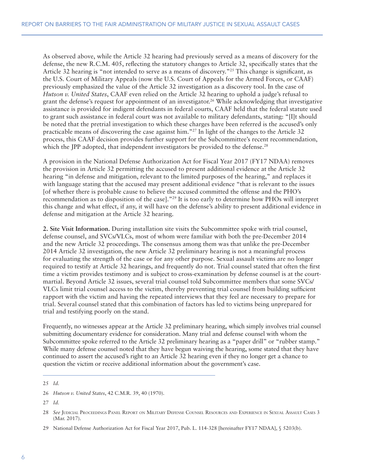As observed above, while the Article 32 hearing had previously served as a means of discovery for the defense, the new R.C.M. 405, reflecting the statutory changes to Article 32, specifically states that the Article 32 hearing is "not intended to serve as a means of discovery."<sup>25</sup> This change is significant, as the U.S. Court of Military Appeals (now the U.S. Court of Appeals for the Armed Forces, or CAAF) previously emphasized the value of the Article 32 investigation as a discovery tool. In the case of *Hutson v. United States*, CAAF even relied on the Article 32 hearing to uphold a judge's refusal to grant the defense's request for appointment of an investigator.<sup>26</sup> While acknowledging that investigative assistance is provided for indigent defendants in federal courts, CAAF held that the federal statute used to grant such assistance in federal court was not available to military defendants, stating: "[I]t should be noted that the pretrial investigation to which these charges have been referred is the accused's only practicable means of discovering the case against him."27 In light of the changes to the Article 32 process, this CAAF decision provides further support for the Subcommittee's recent recommendation, which the JPP adopted, that independent investigators be provided to the defense.<sup>28</sup>

A provision in the National Defense Authorization Act for Fiscal Year 2017 (FY17 NDAA) removes the provision in Article 32 permitting the accused to present additional evidence at the Article 32 hearing "in defense and mitigation, relevant to the limited purposes of the hearing," and replaces it with language stating that the accused may present additional evidence "that is relevant to the issues [of whether there is probable cause to believe the accused committed the offense and the PHO's recommendation as to disposition of the case]."29 It is too early to determine how PHOs will interpret this change and what effect, if any, it will have on the defense's ability to present additional evidence in defense and mitigation at the Article 32 hearing.

**2. Site Visit Information.** During installation site visits the Subcommittee spoke with trial counsel, defense counsel, and SVCs/VLCs, most of whom were familiar with both the pre-December 2014 and the new Article 32 proceedings. The consensus among them was that unlike the pre-December 2014 Article 32 investigation, the new Article 32 preliminary hearing is not a meaningful process for evaluating the strength of the case or for any other purpose. Sexual assault victims are no longer required to testify at Article 32 hearings, and frequently do not. Trial counsel stated that often the first time a victim provides testimony and is subject to cross-examination by defense counsel is at the courtmartial. Beyond Article 32 issues, several trial counsel told Subcommittee members that some SVCs/ VLCs limit trial counsel access to the victim, thereby preventing trial counsel from building sufficient rapport with the victim and having the repeated interviews that they feel are necessary to prepare for trial. Several counsel stated that this combination of factors has led to victims being unprepared for trial and testifying poorly on the stand.

Frequently, no witnesses appear at the Article 32 preliminary hearing, which simply involves trial counsel submitting documentary evidence for consideration. Many trial and defense counsel with whom the Subcommittee spoke referred to the Article 32 preliminary hearing as a "paper drill" or "rubber stamp." While many defense counsel noted that they have begun waiving the hearing, some stated that they have continued to assert the accused's right to an Article 32 hearing even if they no longer get a chance to question the victim or receive additional information about the government's case.

<sup>25</sup> *Id.* 

<sup>26</sup> *Hutson v. United States*, 42 C.M.R. 39, 40 (1970).

<sup>27</sup> *Id.*

<sup>28</sup> *See* JUDICIAL PROCEEDINGS PANEL REPORT ON MILITARY DEFENSE COUNSEL RESOURCES AND EXPERIENCE IN SEXUAL ASSAULT CASES 3 (Mar. 2017).

<sup>29</sup> National Defense Authorization Act for Fiscal Year 2017, Pub. L. 114-328 [hereinafter FY17 NDAA], § 5203(b).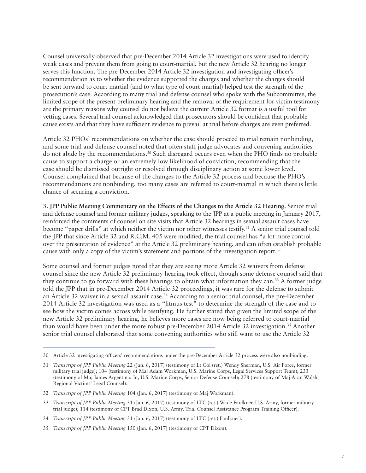Counsel universally observed that pre-December 2014 Article 32 investigations were used to identify weak cases and prevent them from going to court-martial, but the new Article 32 hearing no longer serves this function. The pre-December 2014 Article 32 investigation and investigating officer's recommendation as to whether the evidence supported the charges and whether the charges should be sent forward to court-martial (and to what type of court-martial) helped test the strength of the prosecution's case. According to many trial and defense counsel who spoke with the Subcommittee, the limited scope of the present preliminary hearing and the removal of the requirement for victim testimony are the primary reasons why counsel do not believe the current Article 32 format is a useful tool for vetting cases. Several trial counsel acknowledged that prosecutors should be confident that probable cause exists and that they have sufficient evidence to prevail at trial before charges are even preferred.

Article 32 PHOs' recommendations on whether the case should proceed to trial remain nonbinding, and some trial and defense counsel noted that often staff judge advocates and convening authorities do not abide by the recommendations.<sup>30</sup> Such disregard occurs even when the PHO finds no probable cause to support a charge or an extremely low likelihood of conviction, recommending that the case should be dismissed outright or resolved through disciplinary action at some lower level. Counsel complained that because of the changes to the Article 32 process and because the PHO's recommendations are nonbinding, too many cases are referred to court-martial in which there is little chance of securing a conviction.

**3. JPP Public Meeting Commentary on the Effects of the Changes to the Article 32 Hearing.** Senior trial and defense counsel and former military judges, speaking to the JPP at a public meeting in January 2017, reinforced the comments of counsel on site visits that Article 32 hearings in sexual assault cases have become "paper drills" at which neither the victim nor other witnesses testify.31 A senior trial counsel told the JPP that since Article 32 and R.C.M. 405 were modified, the trial counsel has "a lot more control over the presentation of evidence" at the Article 32 preliminary hearing, and can often establish probable cause with only a copy of the victim's statement and portions of the investigation report.32

Some counsel and former judges noted that they are seeing more Article 32 waivers from defense counsel since the new Article 32 preliminary hearing took effect, though some defense counsel said that they continue to go forward with these hearings to obtain what information they can.33 A former judge told the JPP that in pre-December 2014 Article 32 proceedings, it was rare for the defense to submit an Article 32 waiver in a sexual assault case.34 According to a senior trial counsel, the pre-December 2014 Article 32 investigation was used as a "litmus test" to determine the strength of the case and to see how the victim comes across while testifying. He further stated that given the limited scope of the new Article 32 preliminary hearing, he believes more cases are now being referred to court-martial than would have been under the more robust pre-December 2014 Article 32 investigation.35 Another senior trial counsel elaborated that some convening authorities who still want to use the Article 32

<sup>30</sup> Article 32 investigating officers' recommendations under the pre-December Article 32 process were also nonbinding.

<sup>31</sup> *Transcript of JPP Public Meeting* 22 (Jan. 6, 2017) (testimony of Lt Col (ret.) Wendy Sherman, U.S. Air Force, former military trial judge); 104 (testimony of Maj Adam Workman, U.S. Marine Corps, Legal Services Support Team); 233 (testimony of Maj James Argentina, Jr., U.S. Marine Corps, Senior Defense Counsel); 278 (testimony of Maj Aran Walsh, Regional Victims' Legal Counsel).

<sup>32</sup> *Transcript of JPP Public Meeting* 104 (Jan. 6, 2017) (testimony of Maj Workman).

<sup>33</sup> *Transcript of JPP Public Meeting* 31 (Jan. 6, 2017) (testimony of LTC (ret.) Wade Faulkner, U.S. Army, former military trial judge); 114 (testimony of CPT Brad Dixon, U.S. Army, Trial Counsel Assistance Program Training Officer).

<sup>34</sup> *Transcript of JPP Public Meeting* 31 (Jan. 6, 2017) (testimony of LTC (ret.) Faulkner).

<sup>35</sup> *Transcript of JPP Public Meeting* 150 (Jan. 6, 2017) (testimony of CPT Dixon).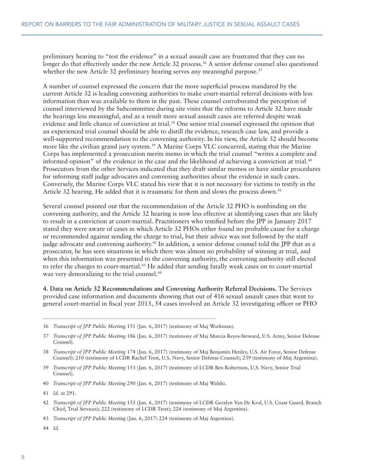preliminary hearing to "test the evidence" in a sexual assault case are frustrated that they can no longer do that effectively under the new Article 32 process.<sup>36</sup> A senior defense counsel also questioned whether the new Article 32 preliminary hearing serves any meaningful purpose.<sup>37</sup>

A number of counsel expressed the concern that the more superficial process mandated by the current Article 32 is leading convening authorities to make court-martial referral decisions with less information than was available to them in the past. These counsel corroborated the perception of counsel interviewed by the Subcommittee during site visits that the reforms to Article 32 have made the hearings less meaningful, and as a result more sexual assault cases are referred despite weak evidence and little chance of conviction at trial.38 One senior trial counsel expressed the opinion that an experienced trial counsel should be able to distill the evidence, research case law, and provide a well-supported recommendation to the convening authority. In his view, the Article 32 should become more like the civilian grand jury system.39 A Marine Corps VLC concurred, stating that the Marine Corps has implemented a prosecution merits memo in which the trial counsel "writes a complete and informed opinion" of the evidence in the case and the likelihood of achieving a conviction at trial.40 Prosecutors from the other Services indicated that they draft similar memos or have similar procedures for informing staff judge advocates and convening authorities about the evidence in such cases. Conversely, the Marine Corps VLC stated his view that it is not necessary for victims to testify in the Article 32 hearing. He added that it is traumatic for them and slows the process down.<sup>41</sup>

Several counsel pointed out that the recommendation of the Article 32 PHO is nonbinding on the convening authority, and the Article 32 hearing is now less effective at identifying cases that are likely to result in a conviction at court-martial. Practitioners who testified before the JPP in January 2017 stated they were aware of cases in which Article 32 PHOs either found no probable cause for a charge or recommended against sending the charge to trial, but their advice was not followed by the staff judge advocate and convening authority.42 In addition, a senior defense counsel told the JPP that as a prosecutor, he has seen situations in which there was almost no probability of winning at trial, and when this information was presented to the convening authority, the convening authority still elected to refer the charges to court-martial.43 He added that sending fatally weak cases on to court-martial was very demoralizing to the trial counsel.<sup>44</sup>

**4. Data on Article 32 Recommendations and Convening Authority Referral Decisions.** The Services provided case information and documents showing that out of 416 sexual assault cases that went to general court-martial in fiscal year 2015, 54 cases involved an Article 32 investigating officer or PHO

<sup>36</sup> *Transcript of JPP Public Meeting* 151 (Jan. 6, 2017) (testimony of Maj Workman).

<sup>37</sup> *Transcript of JPP Public Meeting* 186 (Jan. 6, 2017) (testimony of Maj Marcia Reyes-Steward, U.S. Army, Senior Defense Counsel).

<sup>38</sup> *Transcript of JPP Public Meeting* 174 (Jan. 6, 2017) (testimony of Maj Benjamin Henley, U.S. Air Force, Senior Defense Counsel); 210 (testimony of LCDR Rachel Trest, U.S. Navy, Senior Defense Counsel); 239 (testimony of Maj Argentina).

<sup>39</sup> *Transcript of JPP Public Meeting* 153 (Jan. 6, 2017) (testimony of LCDR Ben Robertson, U.S. Navy, Senior Trial Counsel).

<sup>40</sup> *Transcript of JPP Public Meeting* 290 (Jan. 6, 2017) (testimony of Maj Walsh).

<sup>41</sup> *Id.* at 291.

<sup>42</sup> *Transcript of JPP Public Meeting* 155 (Jan. 6, 2017) (testimony of LCDR Geralyn Van De Krol, U.S. Coast Guard, Branch Chief, Trial Services); 222 (testimony of LCDR Trest); 224 (testimony of Maj Argentina).

<sup>43</sup> *Transcript of JPP Public Meeting* (Jan. 6, 2017) 224 (testimony of Maj Argentina).

<sup>44</sup> *Id.*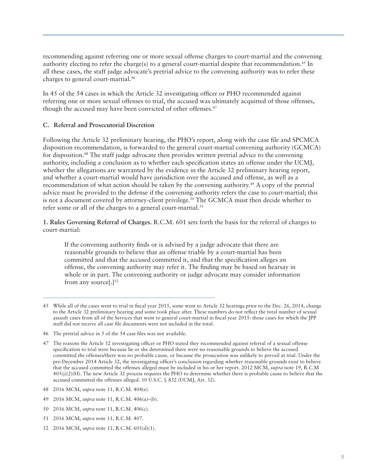recommending against referring one or more sexual offense charges to court-martial and the convening authority electing to refer the charge(s) to a general court-martial despite that recommendation.45 In all these cases, the staff judge advocate's pretrial advice to the convening authority was to refer these charges to general court-martial.46

In 45 of the 54 cases in which the Article 32 investigating officer or PHO recommended against referring one or more sexual offenses to trial, the accused was ultimately acquitted of those offenses, though the accused may have been convicted of other offenses.<sup>47</sup>

#### **C. Referral and Prosecutorial Discretion**

Following the Article 32 preliminary hearing, the PHO's report, along with the case file and SPCMCA disposition recommendation, is forwarded to the general court-martial convening authority (GCMCA) for disposition.48 The staff judge advocate then provides written pretrial advice to the convening authority, including a conclusion as to whether each specification states an offense under the UCMJ, whether the allegations are warranted by the evidence in the Article 32 preliminary hearing report, and whether a court-martial would have jurisdiction over the accused and offense, as well as a recommendation of what action should be taken by the convening authority.49 A copy of the pretrial advice must be provided to the defense if the convening authority refers the case to court-martial; this is not a document covered by attorney-client privilege.<sup>50</sup> The GCMCA must then decide whether to refer some or all of the charges to a general court-martial.<sup>51</sup>

**1. Rules Governing Referral of Charges.** R.C.M. 601 sets forth the basis for the referral of charges to court-martial:

If the convening authority finds or is advised by a judge advocate that there are reasonable grounds to believe that an offense triable by a court-martial has been committed and that the accused committed it, and that the specification alleges an offense, the convening authority may refer it. The finding may be based on hearsay in whole or in part. The convening authority or judge advocate may consider information from any source $[.]^{52}$ 

- 48 2016 MCM, *supra* note 11, R.C.M. 404(e).
- 49 2016 MCM, *supra* note 11, R.C.M. 406(a)–(b).
- 50 2016 MCM, *supra* note 11, R.C.M. 406(c).
- 51 2016 MCM, *supra* note 11, R.C.M. 407.
- 52 2016 MCM, *supra* note 11, R.C.M. 601(d)(1).

<sup>45</sup> While all of the cases went to trial in fiscal year 2015, some went to Article 32 hearings prior to the Dec. 26, 2014, change to the Article 32 preliminary hearing and some took place after. These numbers do not reflect the total number of sexual assault cases from all of the Services that went to general court-martial in fiscal year 2015: those cases for which the JPP staff did not receive all case file documents were not included in the total.

<sup>46</sup> The pretrial advice in 5 of the 54 case files was not available.

<sup>47</sup> The reasons the Article 32 investigating officer or PHO stated they recommended against referral of a sexual offense specification to trial were because he or she determined there were no reasonable grounds to believe the accused committed the offenses/there was no probable cause, or because the prosecution was unlikely to prevail at trial. Under the pre-December 2014 Article 32, the investigating officer's conclusion regarding whether reasonable grounds exist to believe that the accused committed the offenses alleged must be included in his or her report. 2012 MCM, *supra* note 19, R.C.M  $405(i)(2)(H)$ . The new Article 32 process requires the PHO to determine whether there is probable cause to believe that the accused committed the offenses alleged. 10 U.S.C. § 832 (UCMJ, Art. 32).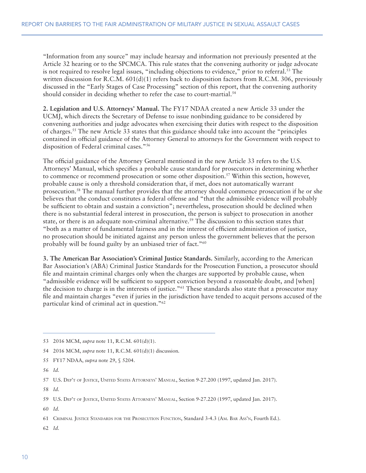"Information from any source" may include hearsay and information not previously presented at the Article 32 hearing or to the SPCMCA. This rule states that the convening authority or judge advocate is not required to resolve legal issues, "including objections to evidence," prior to referral.<sup>53</sup> The written discussion for R.C.M. 601(d)(1) refers back to disposition factors from R.C.M. 306, previously discussed in the "Early Stages of Case Processing" section of this report, that the convening authority should consider in deciding whether to refer the case to court-martial.<sup>54</sup>

**2. Legislation and U.S. Attorneys' Manual.** The FY17 NDAA created a new Article 33 under the UCMJ, which directs the Secretary of Defense to issue nonbinding guidance to be considered by convening authorities and judge advocates when exercising their duties with respect to the disposition of charges.55 The new Article 33 states that this guidance should take into account the "principles contained in official guidance of the Attorney General to attorneys for the Government with respect to disposition of Federal criminal cases."56

The official guidance of the Attorney General mentioned in the new Article 33 refers to the U.S. Attorneys' Manual, which specifies a probable cause standard for prosecutors in determining whether to commence or recommend prosecution or some other disposition.<sup>57</sup> Within this section, however, probable cause is only a threshold consideration that, if met, does not automatically warrant prosecution.58 The manual further provides that the attorney should commence prosecution if he or she believes that the conduct constitutes a federal offense and "that the admissible evidence will probably be sufficient to obtain and sustain a conviction"; nevertheless, prosecution should be declined when there is no substantial federal interest in prosecution, the person is subject to prosecution in another state, or there is an adequate non-criminal alternative.<sup>59</sup> The discussion to this section states that "both as a matter of fundamental fairness and in the interest of efficient administration of justice, no prosecution should be initiated against any person unless the government believes that the person probably will be found guilty by an unbiased trier of fact."60

**3. The American Bar Association's Criminal Justice Standards.** Similarly, according to the American Bar Association's (ABA) Criminal Justice Standards for the Prosecution Function, a prosecutor should file and maintain criminal charges only when the charges are supported by probable cause, when "admissible evidence will be sufficient to support conviction beyond a reasonable doubt, and [when] the decision to charge is in the interests of justice."61 These standards also state that a prosecutor may file and maintain charges "even if juries in the jurisdiction have tended to acquit persons accused of the particular kind of criminal act in question."62

- 55 FY17 NDAA, *supra* note 29, § 5204.
- 56 *Id.*

58 *Id.*

59 U.S. DEP'T OF JUSTICE, UNITED STATES ATTORNEYS' MANUAL, Section 9-27.220 (1997, updated Jan. 2017).

60 *Id.*

62 *Id.*

<sup>53 2016</sup> MCM, *supra* note 11, R.C.M. 601(d)(1).

<sup>54 2016</sup> MCM, *supra* note 11, R.C.M. 601(d)(1) discussion*.*

<sup>57</sup> U.S. DEP'T OF JUSTICE, UNITED STATES ATTORNEYS' MANUAL, Section 9-27.200 (1997, updated Jan. 2017).

<sup>61</sup> CRIMINAL JUSTICE STANDARDS FOR THE PROSECUTION FUNCTION, Standard 3-4.3 (AM. BAR ASS'N, Fourth Ed.).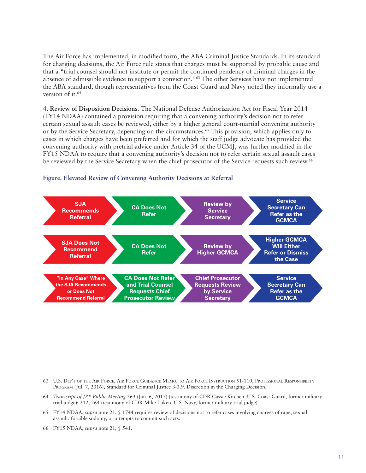The Air Force has implemented, in modified form, the ABA Criminal Justice Standards. In its standard for charging decisions, the Air Force rule states that charges must be supported by probable cause and that a "trial counsel should not institute or permit the continued pendency of criminal charges in the absence of admissible evidence to support a conviction."63 The other Services have not implemented the ABA standard, though representatives from the Coast Guard and Navy noted they informally use a version of it.<sup>64</sup>

**4. Review of Disposition Decisions.** The National Defense Authorization Act for Fiscal Year 2014 (FY14 NDAA) contained a provision requiring that a convening authority's decision not to refer certain sexual assault cases be reviewed, either by a higher general court-martial convening authority or by the Service Secretary, depending on the circumstances.<sup>65</sup> This provision, which applies only to cases in which charges have been preferred and for which the staff judge advocate has provided the convening authority with pretrial advice under Article 34 of the UCMJ, was further modified in the FY15 NDAA to require that a convening authority's decision not to refer certain sexual assault cases be reviewed by the Service Secretary when the chief prosecutor of the Service requests such review.<sup>66</sup>



#### **Figure. Elevated Review of Convening Authority Decisions at Referral**

64 *Transcript of JPP Public Meeting* 263 (Jan. 6, 2017) (testimony of CDR Cassie Kitchen, U.S. Coast Guard, former military trial judge); 212, 264 (testimony of CDR Mike Luken, U.S. Navy, former military trial judge).

66 FY15 NDAA, *supra* note 21, § 541.

<sup>63</sup> U.S. DEP'T OF THE AIR FORCE, AIR FORCE GUIDANCE MEMO. TO AIR FORCE INSTRUCTION 51-110, PROFESSIONAL RESPONSIBILITY PROGRAM (Jul. 7, 2016), Standard for Criminal Justice 3-3.9. Discretion in the Charging Decision.

<sup>65</sup> FY14 NDAA, *supra* note 21, § 1744 requires review of decisions not to refer cases involving charges of rape, sexual assault, forcible sodomy, or attempts to commit such acts.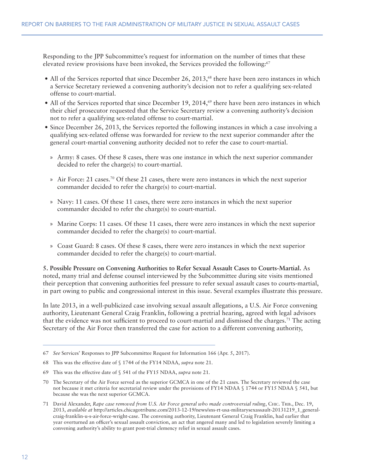Responding to the JPP Subcommittee's request for information on the number of times that these elevated review provisions have been invoked, the Services provided the following:67

- All of the Services reported that since December 26, 2013,<sup>68</sup> there have been zero instances in which a Service Secretary reviewed a convening authority's decision not to refer a qualifying sex-related offense to court-martial.
- All of the Services reported that since December 19, 2014,<sup>69</sup> there have been zero instances in which their chief prosecutor requested that the Service Secretary review a convening authority's decision not to refer a qualifying sex-related offense to court-martial.
- Since December 26, 2013, the Services reported the following instances in which a case involving a qualifying sex-related offense was forwarded for review to the next superior commander after the general court-martial convening authority decided not to refer the case to court-martial.
	- » Army: 8 cases. Of these 8 cases, there was one instance in which the next superior commander decided to refer the charge(s) to court-martial.
	- $\alpha$  Air Force: 21 cases.<sup>70</sup> Of these 21 cases, there were zero instances in which the next superior commander decided to refer the charge(s) to court-martial.
	- » Navy: 11 cases. Of these 11 cases, there were zero instances in which the next superior commander decided to refer the charge(s) to court-martial.
	- » Marine Corps: 11 cases. Of these 11 cases, there were zero instances in which the next superior commander decided to refer the charge(s) to court-martial.
	- » Coast Guard: 8 cases. Of these 8 cases, there were zero instances in which the next superior commander decided to refer the charge(s) to court-martial.

**5. Possible Pressure on Convening Authorities to Refer Sexual Assault Cases to Courts-Martial.** As noted, many trial and defense counsel interviewed by the Subcommittee during site visits mentioned their perception that convening authorities feel pressure to refer sexual assault cases to courts-martial, in part owing to public and congressional interest in this issue. Several examples illustrate this pressure.

In late 2013, in a well-publicized case involving sexual assault allegations, a U.S. Air Force convening authority, Lieutenant General Craig Franklin, following a pretrial hearing, agreed with legal advisors that the evidence was not sufficient to proceed to court-martial and dismissed the charges.71 The acting Secretary of the Air Force then transferred the case for action to a different convening authority,

<sup>67</sup> *See* Services' Responses to JPP Subcommittee Request for Information 166 (Apr. 5, 2017).

<sup>68</sup> This was the effective date of § 1744 of the FY14 NDAA, *supra* note 21.

<sup>69</sup> This was the effective date of § 541 of the FY15 NDAA, *supra* note 21.

<sup>70</sup> The Secretary of the Air Force served as the superior GCMCA in one of the 21 cases. The Secretary reviewed the case not because it met criteria for secretarial review under the provisions of FY14 NDAA § 1744 or FY15 NDAA § 541, but because she was the next superior GCMCA.

<sup>71</sup> David Alexander, *Rape case removed from U.S. Air Force general who made controversial ruling*, CHIC. TRIB., Dec. 19, 2013, *available at* http://articles.chicagotribune.com/2013-12-19/news/sns-rt-usa-militarysexassault-20131219\_1\_generalcraig-franklin-u-s-air-force-wright-case. The convening authority, Lieutenant General Craig Franklin, had earlier that year overturned an officer's sexual assault conviction, an act that angered many and led to legislation severely limiting a convening authority's ability to grant post-trial clemency relief in sexual assault cases.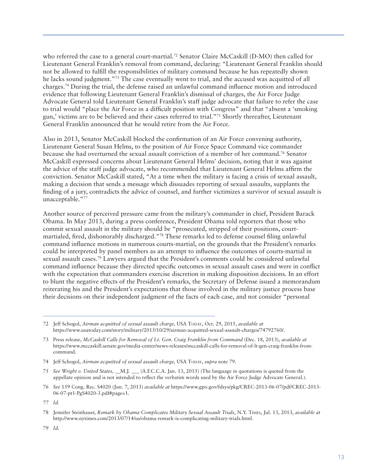who referred the case to a general court-martial.<sup>72</sup> Senator Claire McCaskill (D-MO) then called for Lieutenant General Franklin's removal from command, declaring: "Lieutenant General Franklin should not be allowed to fulfill the responsibilities of military command because he has repeatedly shown he lacks sound judgment."<sup>73</sup> The case eventually went to trial, and the accused was acquitted of all charges.74 During the trial, the defense raised an unlawful command influence motion and introduced evidence that following Lieutenant General Franklin's dismissal of charges, the Air Force Judge Advocate General told Lieutenant General Franklin's staff judge advocate that failure to refer the case to trial would "place the Air Force in a difficult position with Congress" and that "absent a 'smoking gun,' victims are to be believed and their cases referred to trial."75 Shortly thereafter, Lieutenant General Franklin announced that he would retire from the Air Force.

Also in 2013, Senator McCaskill blocked the confirmation of an Air Force convening authority, Lieutenant General Susan Helms, to the position of Air Force Space Command vice commander because she had overturned the sexual assault conviction of a member of her command.76 Senator McCaskill expressed concerns about Lieutenant General Helms' decision, noting that it was against the advice of the staff judge advocate, who recommended that Lieutenant General Helms affirm the conviction. Senator McCaskill stated, "At a time when the military is facing a crisis of sexual assault, making a decision that sends a message which dissuades reporting of sexual assaults, supplants the finding of a jury, contradicts the advice of counsel, and further victimizes a survivor of sexual assault is unacceptable."77

Another source of perceived pressure came from the military's commander in chief, President Barack Obama. In May 2013, during a press conference, President Obama told reporters that those who commit sexual assault in the military should be "prosecuted, stripped of their positions, courtmartialed, fired, dishonorably discharged."78 These remarks led to defense counsel filing unlawful command influence motions in numerous courts-martial, on the grounds that the President's remarks could be interpreted by panel members as an attempt to influence the outcomes of courts-martial in sexual assault cases.<sup>79</sup> Lawyers argued that the President's comments could be considered unlawful command influence because they directed specific outcomes in sexual assault cases and were in conflict with the expectation that commanders exercise discretion in making disposition decisions. In an effort to blunt the negative effects of the President's remarks, the Secretary of Defense issued a memorandum reiterating his and the President's expectations that those involved in the military justice process base their decisions on their independent judgment of the facts of each case, and not consider "personal

<sup>72</sup> Jeff Schogol, *Airman acquitted of sexual assault charge,* USA TODAY, Oct. 29, 2015, *available at* https://www.usatoday.com/story/military/2015/10/29/airman-acquitted-sexual-assault-charges/74792760/.

<sup>73</sup> Press release, *McCaskill Calls for Removal of Lt. Gen. Craig Franklin from Command* (Dec. 18, 2013), *available at* https://www.mccaskill.senate.gov/media-center/news-releases/mccaskill-calls-for-removal-of-lt-gen-craig-franklin-fromcommand.

<sup>74</sup> Jeff Schogol, *Airman acquitted of sexual assault charge,* USA TODAY, *supra* note 79.

<sup>75</sup> *See Wright v. United States, \_\_*M.J. \_\_\_ (A.F.C.C.A. Jan. 13, 2015) (The language in quotations is quoted from the appellate opinion and is not intended to reflect the verbatim words used by the Air Force Judge Advocate General.).

<sup>76</sup> *See* 159 Cong. Rec. S4020 (Jun. 7, 2013) *available at* https://www.gpo.gov/fdsys/pkg/CREC-2013-06-07/pdf/CREC-2013- 06-07-pt1-PgS4020-3.pdf#page=1.

<sup>77</sup> *Id.*

<sup>78</sup> Jennifer Steinhauer, *Remark by Obama Complicates Military Sexual Assault Trials*, N.Y. TIMES, Jul. 13, 2013, *available at*  http://www.nytimes.com/2013/07/14/us/obama-remark-is-complicating-military-trials.html.

<sup>79</sup> *Id.*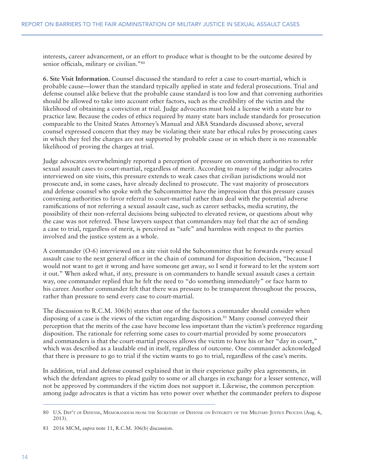interests, career advancement, or an effort to produce what is thought to be the outcome desired by senior officials, military or civilian."<sup>80</sup>

**6. Site Visit Information.** Counsel discussed the standard to refer a case to court-martial, which is probable cause—lower than the standard typically applied in state and federal prosecutions. Trial and defense counsel alike believe that the probable cause standard is too low and that convening authorities should be allowed to take into account other factors, such as the credibility of the victim and the likelihood of obtaining a conviction at trial. Judge advocates must hold a license with a state bar to practice law. Because the codes of ethics required by many state bars include standards for prosecution comparable to the United States Attorney's Manual and ABA Standards discussed above, several counsel expressed concern that they may be violating their state bar ethical rules by prosecuting cases in which they feel the charges are not supported by probable cause or in which there is no reasonable likelihood of proving the charges at trial.

Judge advocates overwhelmingly reported a perception of pressure on convening authorities to refer sexual assault cases to court-martial, regardless of merit. According to many of the judge advocates interviewed on site visits, this pressure extends to weak cases that civilian jurisdictions would not prosecute and, in some cases, have already declined to prosecute. The vast majority of prosecutors and defense counsel who spoke with the Subcommittee have the impression that this pressure causes convening authorities to favor referral to court-martial rather than deal with the potential adverse ramifications of not referring a sexual assault case, such as career setbacks, media scrutiny, the possibility of their non-referral decisions being subjected to elevated review, or questions about why the case was not referred. These lawyers suspect that commanders may feel that the act of sending a case to trial, regardless of merit, is perceived as "safe" and harmless with respect to the parties involved and the justice system as a whole.

A commander (O-6) interviewed on a site visit told the Subcommittee that he forwards every sexual assault case to the next general officer in the chain of command for disposition decision, "because I would not want to get it wrong and have someone get away, so I send it forward to let the system sort it out." When asked what, if any, pressure is on commanders to handle sexual assault cases a certain way, one commander replied that he felt the need to "do something immediately" or face harm to his career. Another commander felt that there was pressure to be transparent throughout the process, rather than pressure to send every case to court-martial.

The discussion to R.C.M. 306(b) states that one of the factors a commander should consider when disposing of a case is the views of the victim regarding disposition.<sup>81</sup> Many counsel conveyed their perception that the merits of the case have become less important than the victim's preference regarding disposition. The rationale for referring some cases to court-martial provided by some prosecutors and commanders is that the court-martial process allows the victim to have his or her "day in court," which was described as a laudable end in itself, regardless of outcome. One commander acknowledged that there is pressure to go to trial if the victim wants to go to trial, regardless of the case's merits.

In addition, trial and defense counsel explained that in their experience guilty plea agreements, in which the defendant agrees to plead guilty to some or all charges in exchange for a lesser sentence, will not be approved by commanders if the victim does not support it. Likewise, the common perception among judge advocates is that a victim has veto power over whether the commander prefers to dispose

<sup>80</sup> U.S. DEP'T OF DEFENSE, MEMORANDUM FROM THE SECRETARY OF DEFENSE ON INTEGRITY OF THE MILITARY JUSTICE PROCESS (Aug. 6, 2013).

<sup>81 2016</sup> MCM, *supra* note 11, R.C.M. 306(b) discussion.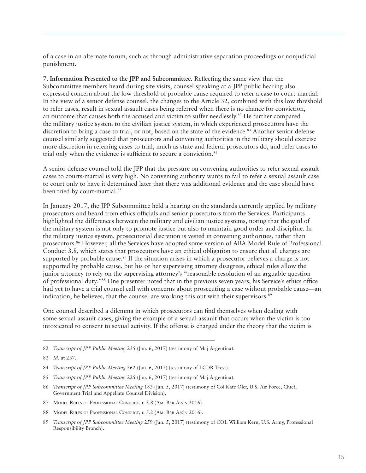of a case in an alternate forum, such as through administrative separation proceedings or nonjudicial punishment.

**7. Information Presented to the JPP and Subcommittee.** Reflecting the same view that the Subcommittee members heard during site visits, counsel speaking at a JPP public hearing also expressed concern about the low threshold of probable cause required to refer a case to court-martial. In the view of a senior defense counsel, the changes to the Article 32, combined with this low threshold to refer cases, result in sexual assault cases being referred when there is no chance for conviction, an outcome that causes both the accused and victim to suffer needlessly. $82$  He further compared the military justice system to the civilian justice system, in which experienced prosecutors have the discretion to bring a case to trial, or not, based on the state of the evidence.<sup>83</sup> Another senior defense counsel similarly suggested that prosecutors and convening authorities in the military should exercise more discretion in referring cases to trial, much as state and federal prosecutors do, and refer cases to trial only when the evidence is sufficient to secure a conviction.<sup>84</sup>

A senior defense counsel told the JPP that the pressure on convening authorities to refer sexual assault cases to courts-martial is very high. No convening authority wants to fail to refer a sexual assault case to court only to have it determined later that there was additional evidence and the case should have been tried by court-martial.<sup>85</sup>

In January 2017, the JPP Subcommittee held a hearing on the standards currently applied by military prosecutors and heard from ethics officials and senior prosecutors from the Services. Participants highlighted the differences between the military and civilian justice systems, noting that the goal of the military system is not only to promote justice but also to maintain good order and discipline. In the military justice system, prosecutorial discretion is vested in convening authorities, rather than prosecutors.86 However, all the Services have adopted some version of ABA Model Rule of Professional Conduct 3.8, which states that prosecutors have an ethical obligation to ensure that all charges are supported by probable cause.<sup>87</sup> If the situation arises in which a prosecutor believes a charge is not supported by probable cause, but his or her supervising attorney disagrees, ethical rules allow the junior attorney to rely on the supervising attorney's "reasonable resolution of an arguable question of professional duty."88 One presenter noted that in the previous seven years, his Service's ethics office had yet to have a trial counsel call with concerns about prosecuting a case without probable cause—an indication, he believes, that the counsel are working this out with their supervisors.<sup>89</sup>

One counsel described a dilemma in which prosecutors can find themselves when dealing with some sexual assault cases, giving the example of a sexual assault that occurs when the victim is too intoxicated to consent to sexual activity. If the offense is charged under the theory that the victim is

82 *Transcript of JPP Public Meeting* 235 (Jan. 6, 2017) (testimony of Maj Argentina).

- 85 *Transcript of JPP Public Meeting* 225 (Jan. 6, 2017) (testimony of Maj Argentina).
- 86 *Transcript of JPP Subcommittee Meeting* 183 (Jan. 5, 2017) (testimony of Col Kate Oler, U.S. Air Force, Chief, Government Trial and Appellate Counsel Division).
- 87 MODEL RULES OF PROFESSIONAL CONDUCT, r. 3.8 (AM. BAR ASS'N 2016).
- 88 MODEL RULES OF PROFESSIONAL CONDUCT, r. 5.2 (AM. BAR ASS'N 2016).
- 89 *Transcript of JPP Subcommittee Meeting* 259 (Jan. 5, 2017) (testimony of COL William Kern, U.S. Army, Professional Responsibility Branch).

<sup>83</sup> *Id.* at 237.

<sup>84</sup> *Transcript of JPP Public Meeting* 262 (Jan. 6, 2017) (testimony of LCDR Trest).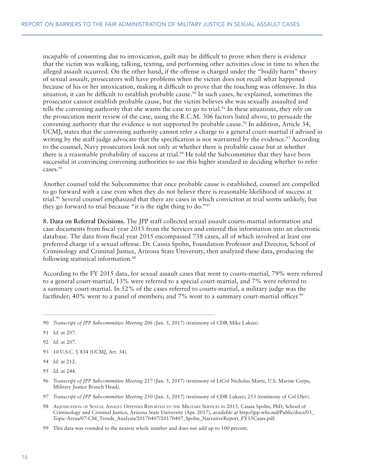incapable of consenting due to intoxication, guilt may be difficult to prove when there is evidence that the victim was walking, talking, texting, and performing other activities close in time to when the alleged assault occurred. On the other hand, if the offense is charged under the "bodily harm" theory of sexual assault, prosecutors will have problems when the victim does not recall what happened because of his or her intoxication, making it difficult to prove that the touching was offensive. In this situation, it can be difficult to establish probable cause.<sup>90</sup> In such cases, he explained, sometimes the prosecutor cannot establish probable cause, but the victim believes she was sexually assaulted and tells the convening authority that she wants the case to go to trial. $91$  In these situations, they rely on the prosecution merit review of the case, using the R.C.M. 306 factors listed above, to persuade the convening authority that the evidence is not supported by probable cause.92 In addition, Article 34, UCMJ, states that the convening authority cannot refer a charge to a general court-martial if advised in writing by the staff judge advocate that the specification is not warranted by the evidence.<sup>93</sup> According to the counsel, Navy prosecutors look not only at whether there is probable cause but at whether there is a reasonable probability of success at trial.<sup>94</sup> He told the Subcommittee that they have been successful in convincing convening authorities to use this higher standard in deciding whether to refer cases.95

Another counsel told the Subcommittee that once probable cause is established, counsel are compelled to go forward with a case even when they do not believe there is reasonable likelihood of success at trial.96 Several counsel emphasized that there are cases in which conviction at trial seems unlikely, but they go forward to trial because "it is the right thing to do."97

**8. Data on Referral Decisions.** The JPP staff collected sexual assault courts-martial information and case documents from fiscal year 2015 from the Services and entered this information into an electronic database. The data from fiscal year 2015 encompassed 738 cases, all of which involved at least one preferred charge of a sexual offense. Dr. Cassia Spohn, Foundation Professor and Director, School of Criminology and Criminal Justice, Arizona State University, then analyzed these data, producing the following statistical information.98

According to the FY 2015 data, for sexual assault cases that went to courts-martial, 79% were referred to a general court-martial, 13% were referred to a special court-martial, and 7% were referred to a summary court-martial. In 52% of the cases referred to courts-martial, a military judge was the factfinder; 40% went to a panel of members; and 7% went to a summary court-martial officer.<sup>99</sup>

- 93 10 U.S.C. § 834 (UCMJ, Art. 34).
- 94 *Id.* at 212.
- 95 *Id.* at 244.
- 96 *Transcript of JPP Subcommittee Meeting* 217 (Jan. 5, 2017) (testimony of LtCol Nicholas Martz, U.S. Marine Corps, Military Justice Branch Head).
- 97 *Transcript of JPP Subcommittee Meeting* 250 (Jan. 5, 2017) (testimony of CDR Luken); 253 (testimony of Col Oler).
- 98 ADJUDICATION OF SEXUAL ASSAULT OFFENSES REPORTED TO THE MILITARY SERVICES IN 2015, Cassia Spohn, PhD, School of Criminology and Criminal Justice, Arizona State University (Apr. 2017), *available at* http://jpp.whs.mil/Public/docs/03\_ Topic-Areas/07-CM\_Trends\_Analysis/20170407/20170407\_Spohn\_NarrativeReport\_FY15Cases.pdf.
- 99 This data was rounded to the nearest whole number and does not add up to 100 percent.

<sup>90</sup> *Transcript of JPP Subcommittee Meeting* 206 (Jan. 5, 2017) (testimony of CDR Mike Luken).

<sup>91</sup> *Id.* at 207.

<sup>92</sup> *Id.* at 207.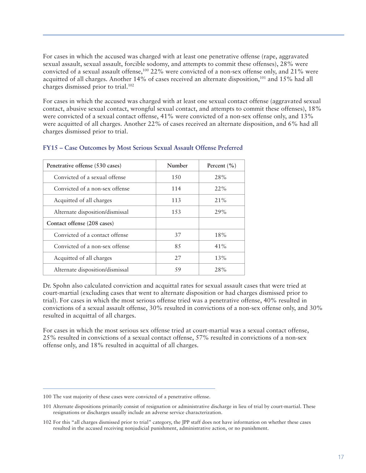For cases in which the accused was charged with at least one penetrative offense (rape, aggravated sexual assault, sexual assault, forcible sodomy, and attempts to commit these offenses), 28% were convicted of a sexual assault offense,100 22% were convicted of a non-sex offense only, and 21% were acquitted of all charges. Another 14% of cases received an alternate disposition,<sup>101</sup> and 15% had all charges dismissed prior to trial.102

For cases in which the accused was charged with at least one sexual contact offense (aggravated sexual contact, abusive sexual contact, wrongful sexual contact, and attempts to commit these offenses), 18% were convicted of a sexual contact offense, 41% were convicted of a non-sex offense only, and 13% were acquitted of all charges. Another 22% of cases received an alternate disposition, and 6% had all charges dismissed prior to trial.

| Penetrative offense (530 cases) | Number | Percent $(\% )$ |
|---------------------------------|--------|-----------------|
| Convicted of a sexual offense   | 1.50   | 28%             |
| Convicted of a non-sex offense  | 114    | 22%             |
| Acquitted of all charges        | 113    | $21\%$          |
| Alternate disposition/dismissal | 153    | 29%             |
| Contact offense (208 cases)     |        |                 |
| Convicted of a contact offense  | 37     | 18%             |
| Convicted of a non-sex offense  | 85     | $41\%$          |
| Acquitted of all charges        | 27     | 13%             |
| Alternate disposition/dismissal | 59     | 28%             |

#### **FY15 – Case Outcomes by Most Serious Sexual Assault Offense Preferred**

Dr. Spohn also calculated conviction and acquittal rates for sexual assault cases that were tried at court-martial (excluding cases that went to alternate disposition or had charges dismissed prior to trial). For cases in which the most serious offense tried was a penetrative offense, 40% resulted in convictions of a sexual assault offense, 30% resulted in convictions of a non-sex offense only, and 30% resulted in acquittal of all charges.

For cases in which the most serious sex offense tried at court-martial was a sexual contact offense, 25% resulted in convictions of a sexual contact offense, 57% resulted in convictions of a non-sex offense only, and 18% resulted in acquittal of all charges.

<sup>100</sup> The vast majority of these cases were convicted of a penetrative offense.

<sup>101</sup> Alternate dispositions primarily consist of resignation or administrative discharge in lieu of trial by court-martial. These resignations or discharges usually include an adverse service characterization.

<sup>102</sup> For this "all charges dismissed prior to trial" category, the JPP staff does not have information on whether these cases resulted in the accused receiving nonjudicial punishment, administrative action, or no punishment.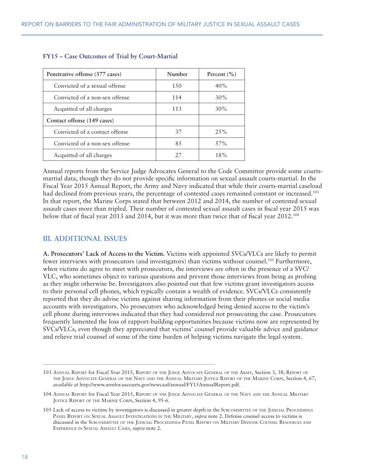| Penetrative offense (377 cases) | Number | Percent $(\% )$ |
|---------------------------------|--------|-----------------|
| Convicted of a sexual offense   | 1.50   | 40%             |
| Convicted of a non-sex offense  | 114    | 30%             |
| Acquitted of all charges        | 113    | 30%             |
| Contact offense (149 cases)     |        |                 |
| Convicted of a contact offense  | 37     | $2.5\%$         |
| Convicted of a non-sex offense  | 85     | 57%             |
| Acquitted of all charges        | 27     | 18%             |

#### **FY15 – Case Outcomes of Trial by Court-Martial**

Annual reports from the Service Judge Advocates General to the Code Committee provide some courtsmartial data, though they do not provide specific information on sexual assault courts-martial. In the Fiscal Year 2015 Annual Report, the Army and Navy indicated that while their courts-martial caseload had declined from previous years, the percentage of contested cases remained constant or increased.<sup>103</sup> In that report, the Marine Corps stated that between 2012 and 2014, the number of contested sexual assault cases more than tripled. Their number of contested sexual assault cases in fiscal year 2015 was below that of fiscal year 2013 and 2014, but it was more than twice that of fiscal year 2012.104

#### **III. ADDITIONAL ISSUES**

**A. Prosecutors' Lack of Access to the Victim.** Victims with appointed SVCs/VLCs are likely to permit fewer interviews with prosecutors (and investigators) than victims without counsel.105 Furthermore, when victims do agree to meet with prosecutors, the interviews are often in the presence of a SVC/ VLC, who sometimes object to various questions and prevent those interviews from being as probing as they might otherwise be. Investigators also pointed out that few victims grant investigators access to their personal cell phones, which typically contain a wealth of evidence. SVCs/VLCs consistently reported that they do advise victims against sharing information from their phones or social media accounts with investigators. No prosecutors who acknowledged being denied access to the victim's cell phone during interviews indicated that they had considered not prosecuting the case. Prosecutors frequently lamented the loss of rapport-building opportunities because victims now are represented by SVCs/VLCs, even though they appreciated that victims' counsel provide valuable advice and guidance and relieve trial counsel of some of the time burden of helping victims navigate the legal system.

<sup>103</sup> ANNUAL REPORT for Fiscal Year 2015, REPORT OF THE JUDGE ADVOCATE GENERAL OF THE ARMY, Section 3, 38; REPORT OF THE JUDGE ADVOCATE GENERAL OF THE NAVY AND THE ANNUAL MILITARY JUSTICE REPORT OF THE MARINE CORPS, Section 4, 67, *available at* http://www.armfor.uscourts.gov/newcaaf/annual/FY15AnnualReport.pdf.

<sup>104</sup> ANNUAL REPORT for Fiscal Year 2015, REPORT OF THE JUDGE ADVOCATE GENERAL OF THE NAVY AND THE ANNUAL MILITARY JUSTICE REPORT OF THE MARINE CORPS, Section 4, 95-6.

<sup>105</sup> Lack of access to victims by investigators is discussed in greater depth in the SUBCOMMITTEE OF THE JUDICIAL PROCEEDINGS PANEL REPORT ON SEXUAL ASSAULT INVESTIGATIONS IN THE MILITARY, *supra* note 2. Defense counsel access to victims is discussed in the SUBCOMMITTEE OF THE JUDICIAL PROCEEDINGS PANEL REPORT ON MILITARY DEFENSE COUNSEL RESOURCES AND EXPERIENCE IN SEXUAL ASSAULT CASES, *supra* note 2.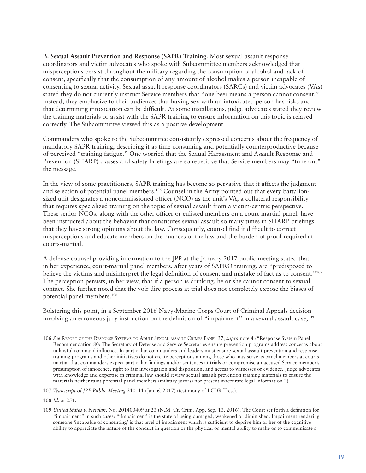**B. Sexual Assault Prevention and Response (SAPR) Training.** Most sexual assault response coordinators and victim advocates who spoke with Subcommittee members acknowledged that misperceptions persist throughout the military regarding the consumption of alcohol and lack of consent, specifically that the consumption of any amount of alcohol makes a person incapable of consenting to sexual activity. Sexual assault response coordinators (SARCs) and victim advocates (VAs) stated they do not currently instruct Service members that "one beer means a person cannot consent." Instead, they emphasize to their audiences that having sex with an intoxicated person has risks and that determining intoxication can be difficult. At some installations, judge advocates stated they review the training materials or assist with the SAPR training to ensure information on this topic is relayed correctly. The Subcommittee viewed this as a positive development.

Commanders who spoke to the Subcommittee consistently expressed concerns about the frequency of mandatory SAPR training, describing it as time-consuming and potentially counterproductive because of perceived "training fatigue." One worried that the Sexual Harassment and Assault Response and Prevention (SHARP) classes and safety briefings are so repetitive that Service members may "tune out" the message.

In the view of some practitioners, SAPR training has become so pervasive that it affects the judgment and selection of potential panel members.106 Counsel in the Army pointed out that every battalionsized unit designates a noncommissioned officer (NCO) as the unit's VA, a collateral responsibility that requires specialized training on the topic of sexual assault from a victim-centric perspective. These senior NCOs, along with the other officer or enlisted members on a court-martial panel, have been instructed about the behavior that constitutes sexual assault so many times in SHARP briefings that they have strong opinions about the law. Consequently, counsel find it difficult to correct misperceptions and educate members on the nuances of the law and the burden of proof required at courts-martial.

A defense counsel providing information to the JPP at the January 2017 public meeting stated that in her experience, court-martial panel members, after years of SAPRO training, are "predisposed to believe the victims and misinterpret the legal definition of consent and mistake of fact as to consent."<sup>107</sup> The perception persists, in her view, that if a person is drinking, he or she cannot consent to sexual contact. She further noted that the voir dire process at trial does not completely expose the biases of potential panel members.108

Bolstering this point, in a September 2016 Navy-Marine Corps Court of Criminal Appeals decision involving an erroneous jury instruction on the definition of "impairment" in a sexual assault case,<sup>109</sup>

<sup>106</sup> *See* REPORT OF THE RESPONSE SYSTEMS TO ADULT SEXUAL ASSAULT CRIMES PANEL 37, *supra* note 4 ("Response System Panel Recommendation 80: The Secretary of Defense and Service Secretaries ensure prevention programs address concerns about unlawful command influence. In particular, commanders and leaders must ensure sexual assault prevention and response training programs and other initiatives do not create perceptions among those who may serve as panel members at courtsmartial that commanders expect particular findings and/or sentences at trials or compromise an accused Service member's presumption of innocence, right to fair investigation and disposition, and access to witnesses or evidence. Judge advocates with knowledge and expertise in criminal law should review sexual assault prevention training materials to ensure the materials neither taint potential panel members (military jurors) nor present inaccurate legal information.").

<sup>107</sup> *Transcript of JPP Public Meeting* 210–11 (Jan. 6, 2017) (testimony of LCDR Trest).

<sup>108</sup> *Id.* at 251.

<sup>109</sup> *United States v. Newlan*, No. 201400409 at 23 (N.M. Ct. Crim. App. Sep. 13, 2016). The Court set forth a definition for "impairment" in such cases: "'Impairment' is the state of being damaged, weakened or diminished. Impairment rendering someone 'incapable of consenting' is that level of impairment which is sufficient to deprive him or her of the cognitive ability to appreciate the nature of the conduct in question or the physical or mental ability to make or to communicate a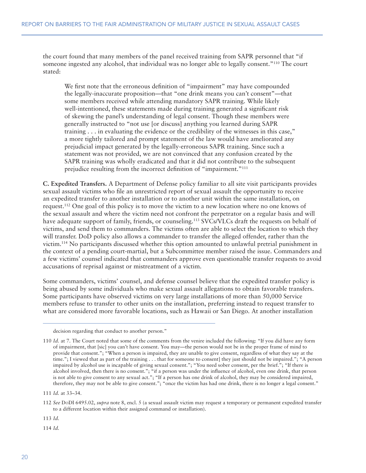the court found that many members of the panel received training from SAPR personnel that "if someone ingested any alcohol, that individual was no longer able to legally consent."110 The court stated:

We first note that the erroneous definition of "impairment" may have compounded the legally-inaccurate proposition—that "one drink means you can't consent"—that some members received while attending mandatory SAPR training. While likely well-intentioned, these statements made during training generated a significant risk of skewing the panel's understanding of legal consent. Though these members were generally instructed to "not use [or discuss] anything you learned during SAPR training . . . in evaluating the evidence or the credibility of the witnesses in this case," a more tightly tailored and prompt statement of the law would have ameliorated any prejudicial impact generated by the legally-erroneous SAPR training. Since such a statement was not provided, we are not convinced that any confusion created by the SAPR training was wholly eradicated and that it did not contribute to the subsequent prejudice resulting from the incorrect definition of "impairment."111

**C. Expedited Transfers.** A Department of Defense policy familiar to all site visit participants provides sexual assault victims who file an unrestricted report of sexual assault the opportunity to receive an expedited transfer to another installation or to another unit within the same installation, on request.112 One goal of this policy is to move the victim to a new location where no one knows of the sexual assault and where the victim need not confront the perpetrator on a regular basis and will have adequate support of family, friends, or counseling.<sup>113</sup> SVCs/VLCs draft the requests on behalf of victims, and send them to commanders. The victims often are able to select the location to which they will transfer. DoD policy also allows a commander to transfer the alleged offender, rather than the victim.114 No participants discussed whether this option amounted to unlawful pretrial punishment in the context of a pending court-martial, but a Subcommittee member raised the issue. Commanders and a few victims' counsel indicated that commanders approve even questionable transfer requests to avoid accusations of reprisal against or mistreatment of a victim.

Some commanders, victims' counsel, and defense counsel believe that the expedited transfer policy is being abused by some individuals who make sexual assault allegations to obtain favorable transfers. Some participants have observed victims on very large installations of more than 50,000 Service members refuse to transfer to other units on the installation, preferring instead to request transfer to what are considered more favorable locations, such as Hawaii or San Diego. At another installation

111 *Id.* at 33–34.

113 *Id.*

114 *Id.*

decision regarding that conduct to another person."

<sup>110</sup> *Id.* at 7. The Court noted that some of the comments from the venire included the following: "If you did have any form of impairment, that [sic] you can't have consent. You may—the person would not be in the proper frame of mind to provide that consent."; "When a person is impaired, they are unable to give consent, regardless of what they say at the time."; I viewed that as part of the training . . . that for someone to consent] they just should not be impaired."; "A person impaired by alcohol use is incapable of giving sexual consent."; "You need sober consent, per the brief."; "If there is alcohol involved, then there is no consent."; "if a person was under the influence of alcohol, even one drink, that person is not able to give consent to any sexual act."; "If a person has one drink of alcohol, they may be considered impaired, therefore, they may not be able to give consent."; "once the victim has had one drink, there is no longer a legal consent."

<sup>112</sup> *See* DODI 6495.02, *supra* note 8, encl. 5 (a sexual assault victim may request a temporary or permanent expedited transfer to a different location within their assigned command or installation).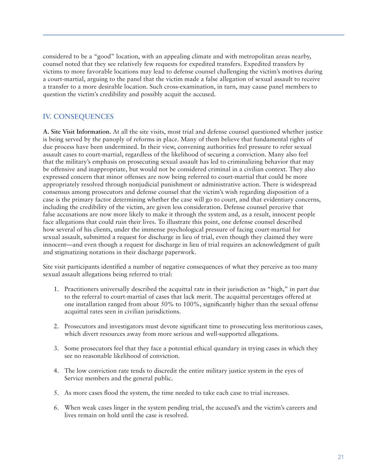considered to be a "good" location, with an appealing climate and with metropolitan areas nearby, counsel noted that they see relatively few requests for expedited transfers. Expedited transfers by victims to more favorable locations may lead to defense counsel challenging the victim's motives during a court-martial, arguing to the panel that the victim made a false allegation of sexual assault to receive a transfer to a more desirable location. Such cross-examination, in turn, may cause panel members to question the victim's credibility and possibly acquit the accused.

## **IV. CONSEQUENCES**

**A. Site Visit Information.** At all the site visits, most trial and defense counsel questioned whether justice is being served by the panoply of reforms in place. Many of them believe that fundamental rights of due process have been undermined. In their view, convening authorities feel pressure to refer sexual assault cases to court-martial, regardless of the likelihood of securing a conviction. Many also feel that the military's emphasis on prosecuting sexual assault has led to criminalizing behavior that may be offensive and inappropriate, but would not be considered criminal in a civilian context. They also expressed concern that minor offenses are now being referred to court-martial that could be more appropriately resolved through nonjudicial punishment or administrative action. There is widespread consensus among prosecutors and defense counsel that the victim's wish regarding disposition of a case is the primary factor determining whether the case will go to court, and that evidentiary concerns, including the credibility of the victim, are given less consideration. Defense counsel perceive that false accusations are now more likely to make it through the system and, as a result, innocent people face allegations that could ruin their lives. To illustrate this point, one defense counsel described how several of his clients, under the immense psychological pressure of facing court-martial for sexual assault, submitted a request for discharge in lieu of trial, even though they claimed they were innocent—and even though a request for discharge in lieu of trial requires an acknowledgment of guilt and stigmatizing notations in their discharge paperwork.

Site visit participants identified a number of negative consequences of what they perceive as too many sexual assault allegations being referred to trial:

- 1. Practitioners universally described the acquittal rate in their jurisdiction as "high," in part due to the referral to court-martial of cases that lack merit. The acquittal percentages offered at one installation ranged from about 50% to 100%, significantly higher than the sexual offense acquittal rates seen in civilian jurisdictions.
- 2. Prosecutors and investigators must devote significant time to prosecuting less meritorious cases, which divert resources away from more serious and well-supported allegations.
- 3. Some prosecutors feel that they face a potential ethical quandary in trying cases in which they see no reasonable likelihood of conviction.
- 4. The low conviction rate tends to discredit the entire military justice system in the eyes of Service members and the general public.
- 5. As more cases flood the system, the time needed to take each case to trial increases.
- 6. When weak cases linger in the system pending trial, the accused's and the victim's careers and lives remain on hold until the case is resolved.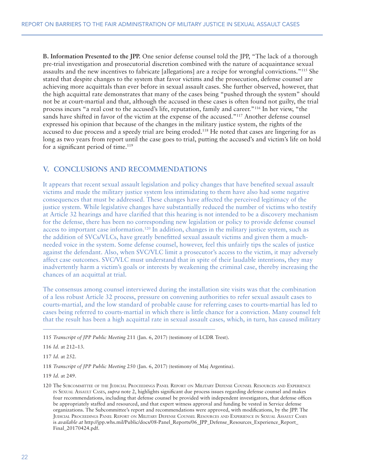**B. Information Presented to the JPP.** One senior defense counsel told the JPP, "The lack of a thorough pre-trial investigation and prosecutorial discretion combined with the nature of acquaintance sexual assaults and the new incentives to fabricate [allegations] are a recipe for wrongful convictions."115 She stated that despite changes to the system that favor victims and the prosecution, defense counsel are achieving more acquittals than ever before in sexual assault cases. She further observed, however, that the high acquittal rate demonstrates that many of the cases being "pushed through the system" should not be at court-martial and that, although the accused in these cases is often found not guilty, the trial process incurs "a real cost to the accused's life, reputation, family and career."116 In her view, "the sands have shifted in favor of the victim at the expense of the accused."<sup>117</sup> Another defense counsel expressed his opinion that because of the changes in the military justice system, the rights of the accused to due process and a speedy trial are being eroded.118 He noted that cases are lingering for as long as two years from report until the case goes to trial, putting the accused's and victim's life on hold for a significant period of time.<sup>119</sup>

#### **V. CONCLUSIONS AND RECOMMENDATIONS**

It appears that recent sexual assault legislation and policy changes that have benefited sexual assault victims and made the military justice system less intimidating to them have also had some negative consequences that must be addressed. These changes have affected the perceived legitimacy of the justice system. While legislative changes have substantially reduced the number of victims who testify at Article 32 hearings and have clarified that this hearing is not intended to be a discovery mechanism for the defense, there has been no corresponding new legislation or policy to provide defense counsel access to important case information.<sup>120</sup> In addition, changes in the military justice system, such as the addition of SVCs/VLCs, have greatly benefitted sexual assault victims and given them a muchneeded voice in the system. Some defense counsel, however, feel this unfairly tips the scales of justice against the defendant. Also, when SVC/VLC limit a prosecutor's access to the victim, it may adversely affect case outcomes. SVC/VLC must understand that in spite of their laudable intentions, they may inadvertently harm a victim's goals or interests by weakening the criminal case, thereby increasing the chances of an acquittal at trial.

The consensus among counsel interviewed during the installation site visits was that the combination of a less robust Article 32 process, pressure on convening authorities to refer sexual assault cases to courts-martial, and the low standard of probable cause for referring cases to courts-martial has led to cases being referred to courts-martial in which there is little chance for a conviction. Many counsel felt that the result has been a high acquittal rate in sexual assault cases, which, in turn, has caused military

115 *Transcript of JPP Public Meeting* 211 (Jan. 6, 2017) (testimony of LCDR Trest).

116 *Id.* at 212–13.

117 *Id.* at 252.

118 *Transcript of JPP Public Meeting* 250 (Jan. 6, 2017) (testimony of Maj Argentina).

119 *Id.* at 249.

<sup>120</sup> The SUBCOMMITTEE OF THE JUDICIAL PROCEEDINGS PANEL REPORT ON MILITARY DEFENSE COUNSEL RESOURCES AND EXPERIENCE IN SEXUAL ASSAULT CASES, *supra* note 2, highlights significant due process issues regarding defense counsel and makes four recommendations, including that defense counsel be provided with independent investigators, that defense offices be appropriately staffed and resourced, and that expert witness approval and funding be vested in Service defense organizations. The Subcommittee's report and recommendations were approved, with modifications, by the JPP. The JUDICIAL PROCEEDINGS PANEL REPORT ON MILITARY DEFENSE COUNSEL RESOURCES AND EXPERIENCE IN SEXUAL ASSAULT CASES is *available at* http://jpp.whs.mil/Public/docs/08-Panel\_Reports/06\_JPP\_Defense\_Resources\_Experience\_Report\_ Final\_20170424.pdf.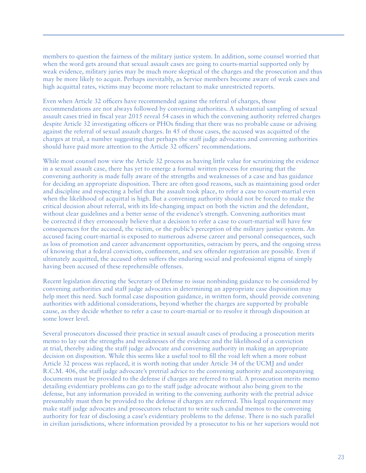members to question the fairness of the military justice system. In addition, some counsel worried that when the word gets around that sexual assault cases are going to courts-martial supported only by weak evidence, military juries may be much more skeptical of the charges and the prosecution and thus may be more likely to acquit. Perhaps inevitably, as Service members become aware of weak cases and high acquittal rates, victims may become more reluctant to make unrestricted reports.

Even when Article 32 officers have recommended against the referral of charges, those recommendations are not always followed by convening authorities. A substantial sampling of sexual assault cases tried in fiscal year 2015 reveal 54 cases in which the convening authority referred charges despite Article 32 investigating officers or PHOs finding that there was no probable cause or advising against the referral of sexual assault charges. In 45 of those cases, the accused was acquitted of the charges at trial, a number suggesting that perhaps the staff judge advocates and convening authorities should have paid more attention to the Article 32 officers' recommendations.

While most counsel now view the Article 32 process as having little value for scrutinizing the evidence in a sexual assault case, there has yet to emerge a formal written process for ensuring that the convening authority is made fully aware of the strengths and weaknesses of a case and has guidance for deciding an appropriate disposition. There are often good reasons, such as maintaining good order and discipline and respecting a belief that the assault took place, to refer a case to court-martial even when the likelihood of acquittal is high. But a convening authority should not be forced to make the critical decision about referral, with its life-changing impact on both the victim and the defendant, without clear guidelines and a better sense of the evidence's strength. Convening authorities must be corrected if they erroneously believe that a decision to refer a case to court-martial will have few consequences for the accused, the victim, or the public's perception of the military justice system. An accused facing court-martial is exposed to numerous adverse career and personal consequences, such as loss of promotion and career advancement opportunities, ostracism by peers, and the ongoing stress of knowing that a federal conviction, confinement, and sex offender registration are possible. Even if ultimately acquitted, the accused often suffers the enduring social and professional stigma of simply having been accused of these reprehensible offenses.

Recent legislation directing the Secretary of Defense to issue nonbinding guidance to be considered by convening authorities and staff judge advocates in determining an appropriate case disposition may help meet this need. Such formal case disposition guidance, in written form, should provide convening authorities with additional considerations, beyond whether the charges are supported by probable cause, as they decide whether to refer a case to court-martial or to resolve it through disposition at some lower level.

Several prosecutors discussed their practice in sexual assault cases of producing a prosecution merits memo to lay out the strengths and weaknesses of the evidence and the likelihood of a conviction at trial, thereby aiding the staff judge advocate and convening authority in making an appropriate decision on disposition. While this seems like a useful tool to fill the void left when a more robust Article 32 process was replaced, it is worth noting that under Article 34 of the UCMJ and under R.C.M. 406, the staff judge advocate's pretrial advice to the convening authority and accompanying documents must be provided to the defense if charges are referred to trial. A prosecution merits memo detailing evidentiary problems can go to the staff judge advocate without also being given to the defense, but any information provided in writing to the convening authority with the pretrial advice presumably must then be provided to the defense if charges are referred. This legal requirement may make staff judge advocates and prosecutors reluctant to write such candid memos to the convening authority for fear of disclosing a case's evidentiary problems to the defense. There is no such parallel in civilian jurisdictions, where information provided by a prosecutor to his or her superiors would not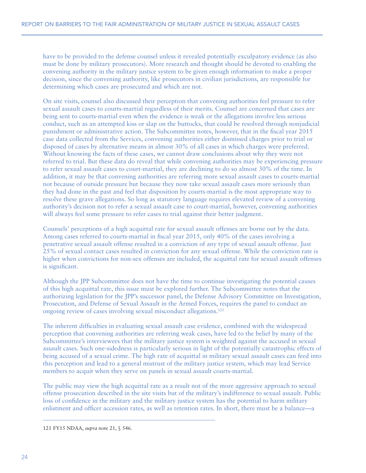have to be provided to the defense counsel unless it revealed potentially exculpatory evidence (as also must be done by military prosecutors). More research and thought should be devoted to enabling the convening authority in the military justice system to be given enough information to make a proper decision, since the convening authority, like prosecutors in civilian jurisdictions, are responsible for determining which cases are prosecuted and which are not.

On site visits, counsel also discussed their perception that convening authorities feel pressure to refer sexual assault cases to courts-martial regardless of their merits. Counsel are concerned that cases are being sent to courts-martial even when the evidence is weak or the allegations involve less serious conduct, such as an attempted kiss or slap on the buttocks, that could be resolved through nonjudicial punishment or administrative action. The Subcommittee notes, however, that in the fiscal year 2015 case data collected from the Services, convening authorities either dismissed charges prior to trial or disposed of cases by alternative means in almost 30% of all cases in which charges were preferred. Without knowing the facts of these cases, we cannot draw conclusions about why they were not referred to trial. But these data do reveal that while convening authorities may be experiencing pressure to refer sexual assault cases to court-martial, they are declining to do so almost 30% of the time. In addition, it may be that convening authorities are referring more sexual assault cases to courts-martial not because of outside pressure but because they now take sexual assault cases more seriously than they had done in the past and feel that disposition by courts-martial is the most appropriate way to resolve these grave allegations. So long as statutory language requires elevated review of a convening authority's decision not to refer a sexual assault case to court-martial, however, convening authorities will always feel some pressure to refer cases to trial against their better judgment.

Counsels' perceptions of a high acquittal rate for sexual assault offenses are borne out by the data. Among cases referred to courts-martial in fiscal year 2015, only 40% of the cases involving a penetrative sexual assault offense resulted in a conviction of any type of sexual assault offense. Just 25% of sexual contact cases resulted in conviction for any sexual offense. While the conviction rate is higher when convictions for non-sex offenses are included, the acquittal rate for sexual assault offenses is significant.

Although the JPP Subcommittee does not have the time to continue investigating the potential causes of this high acquittal rate, this issue must be explored further. The Subcommittee notes that the authorizing legislation for the JPP's successor panel, the Defense Advisory Committee on Investigation, Prosecution, and Defense of Sexual Assault in the Armed Forces, requires the panel to conduct an ongoing review of cases involving sexual misconduct allegations.121

The inherent difficulties in evaluating sexual assault case evidence, combined with the widespread perception that convening authorities are referring weak cases, have led to the belief by many of the Subcommittee's interviewees that the military justice system is weighted against the accused in sexual assault cases. Such one-sidedness is particularly serious in light of the potentially catastrophic effects of being accused of a sexual crime. The high rate of acquittal in military sexual assault cases can feed into this perception and lead to a general mistrust of the military justice system, which may lead Service members to acquit when they serve on panels in sexual assault courts-martial.

The public may view the high acquittal rate as a result not of the more aggressive approach to sexual offense prosecution described in the site visits but of the military's indifference to sexual assault. Public loss of confidence in the military and the military justice system has the potential to harm military enlistment and officer accession rates, as well as retention rates. In short, there must be a balance—a

121 FY15 NDAA, *supra* note 21, § 546.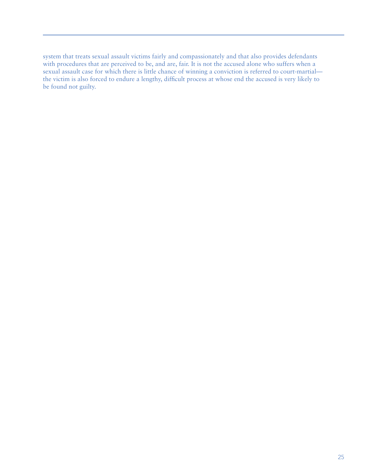system that treats sexual assault victims fairly and compassionately and that also provides defendants with procedures that are perceived to be, and are, fair. It is not the accused alone who suffers when a sexual assault case for which there is little chance of winning a conviction is referred to court-martial the victim is also forced to endure a lengthy, difficult process at whose end the accused is very likely to be found not guilty.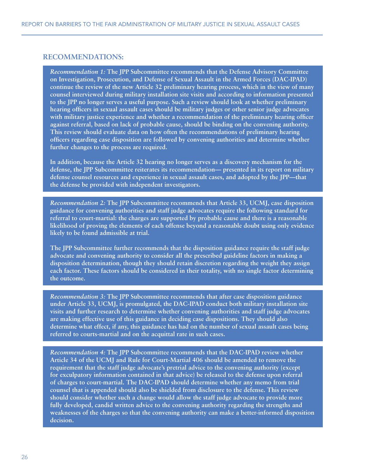#### **RECOMMENDATIONS:**

*Recommendation 1:* **The JPP Subcommittee recommends that the Defense Advisory Committee on Investigation, Prosecution, and Defense of Sexual Assault in the Armed Forces (DAC-IPAD) continue the review of the new Article 32 preliminary hearing process, which in the view of many counsel interviewed during military installation site visits and according to information presented to the JPP no longer serves a useful purpose. Such a review should look at whether preliminary hearing officers in sexual assault cases should be military judges or other senior judge advocates with military justice experience and whether a recommendation of the preliminary hearing officer against referral, based on lack of probable cause, should be binding on the convening authority. This review should evaluate data on how often the recommendations of preliminary hearing officers regarding case disposition are followed by convening authorities and determine whether further changes to the process are required.** 

**In addition, because the Article 32 hearing no longer serves as a discovery mechanism for the defense, the JPP Subcommittee reiterates its recommendation— presented in its report on military defense counsel resources and experience in sexual assault cases, and adopted by the JPP—that the defense be provided with independent investigators.**

*Recommendation 2:* **The JPP Subcommittee recommends that Article 33, UCMJ, case disposition guidance for convening authorities and staff judge advocates require the following standard for referral to court-martial: the charges are supported by probable cause and there is a reasonable likelihood of proving the elements of each offense beyond a reasonable doubt using only evidence likely to be found admissible at trial.** 

**The JPP Subcommittee further recommends that the disposition guidance require the staff judge advocate and convening authority to consider all the prescribed guideline factors in making a disposition determination, though they should retain discretion regarding the weight they assign each factor. These factors should be considered in their totality, with no single factor determining the outcome.**

*Recommendation 3:* **The JPP Subcommittee recommends that after case disposition guidance under Article 33, UCMJ, is promulgated, the DAC-IPAD conduct both military installation site visits and further research to determine whether convening authorities and staff judge advocates are making effective use of this guidance in deciding case dispositions. They should also determine what effect, if any, this guidance has had on the number of sexual assault cases being referred to courts-martial and on the acquittal rate in such cases.**

*Recommendation 4:* **The JPP Subcommittee recommends that the DAC-IPAD review whether Article 34 of the UCMJ and Rule for Court-Martial 406 should be amended to remove the requirement that the staff judge advocate's pretrial advice to the convening authority (except for exculpatory information contained in that advice) be released to the defense upon referral of charges to court-martial. The DAC-IPAD should determine whether any memo from trial counsel that is appended should also be shielded from disclosure to the defense. This review should consider whether such a change would allow the staff judge advocate to provide more fully developed, candid written advice to the convening authority regarding the strengths and weaknesses of the charges so that the convening authority can make a better-informed disposition decision.**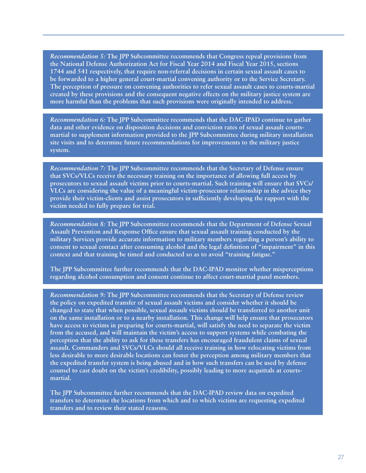*Recommendation 5:* **The JPP Subcommittee recommends that Congress repeal provisions from the National Defense Authorization Act for Fiscal Year 2014 and Fiscal Year 2015, sections 1744 and 541 respectively, that require non-referral decisions in certain sexual assault cases to be forwarded to a higher general court-martial convening authority or to the Service Secretary. The perception of pressure on convening authorities to refer sexual assault cases to courts-martial created by these provisions and the consequent negative effects on the military justice system are more harmful than the problems that such provisions were originally intended to address.**

*Recommendation 6:* **The JPP Subcommittee recommends that the DAC-IPAD continue to gather data and other evidence on disposition decisions and conviction rates of sexual assault courtsmartial to supplement information provided to the JPP Subcommittee during military installation site visits and to determine future recommendations for improvements to the military justice system.**

*Recommendation 7:* **The JPP Subcommittee recommends that the Secretary of Defense ensure that SVCs/VLCs receive the necessary training on the importance of allowing full access by prosecutors to sexual assault victims prior to courts-martial. Such training will ensure that SVCs/ VLCs are considering the value of a meaningful victim-prosecutor relationship in the advice they provide their victim-clients and assist prosecutors in sufficiently developing the rapport with the victim needed to fully prepare for trial.**

*Recommendation 8:* **The JPP Subcommittee recommends that the Department of Defense Sexual Assault Prevention and Response Office ensure that sexual assault training conducted by the military Services provide accurate information to military members regarding a person's ability to consent to sexual contact after consuming alcohol and the legal definition of "impairment" in this context and that training be timed and conducted so as to avoid "training fatigue."** 

**The JPP Subcommittee further recommends that the DAC-IPAD monitor whether misperceptions regarding alcohol consumption and consent continue to affect court-martial panel members.**

*Recommendation 9:* **The JPP Subcommittee recommends that the Secretary of Defense review the policy on expedited transfer of sexual assault victims and consider whether it should be changed to state that when possible, sexual assault victims should be transferred to another unit on the same installation or to a nearby installation. This change will help ensure that prosecutors have access to victims in preparing for courts-martial, will satisfy the need to separate the victim from the accused, and will maintain the victim's access to support systems while combating the perception that the ability to ask for these transfers has encouraged fraudulent claims of sexual assault. Commanders and SVCs/VLCs should all receive training in how relocating victims from less desirable to more desirable locations can foster the perception among military members that the expedited transfer system is being abused and in how such transfers can be used by defense counsel to cast doubt on the victim's credibility, possibly leading to more acquittals at courtsmartial.** 

**The JPP Subcommittee further recommends that the DAC-IPAD review data on expedited transfers to determine the locations from which and to which victims are requesting expedited transfers and to review their stated reasons.**